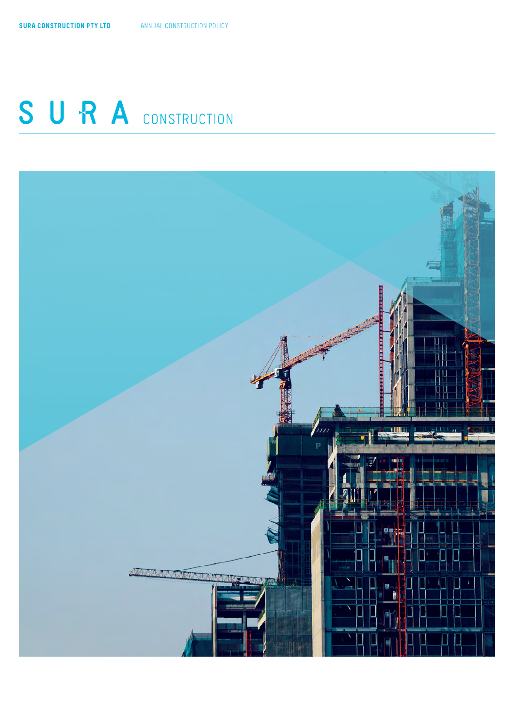# SURA CONSTRUCTION

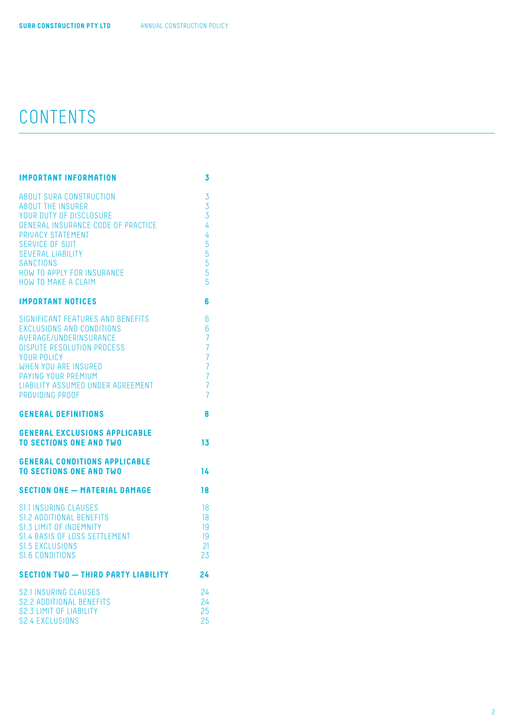## CONTENTS

| <b>IMPORTANT INFORMATION</b>                                                                                                                                                                                                                                                    | 3                                                                                                                                    |
|---------------------------------------------------------------------------------------------------------------------------------------------------------------------------------------------------------------------------------------------------------------------------------|--------------------------------------------------------------------------------------------------------------------------------------|
| <b>ABOUT SURA CONSTRUCTION</b><br><b>ABOUT THE INSURER</b><br>YOUR DUTY OF DISCLOSURE<br>GENERAL INSURANCE CODE OF PRACTICE<br>PRIVACY STATEMENT<br>SERVICE OF SUIT<br><b>SEVERAL LIABILITY</b><br><b>SANCTIONS</b><br>HOW TO APPLY FOR INSURANCE<br><b>HOW TO MAKE A CLAIM</b> | 3<br>3<br>3<br>4<br>4<br>5<br>5<br>5<br>5<br>5                                                                                       |
| <b>IMPORTANT NOTICES</b>                                                                                                                                                                                                                                                        | 6                                                                                                                                    |
| SIGNIFICANT FEATURES AND BENEFITS<br><b>EXCLUSIONS AND CONDITIONS</b><br>AVERAGE/UNDERINSURANCE<br><b>DISPUTE RESOLUTION PROCESS</b><br>YOUR POLICY<br>WHEN YOU ARE INSURED<br>PAYING YOUR PREMIUM<br>LIABILITY ASSUMED UNDER AGREEMENT<br>PROVIDING PROOF                      | 6<br>6<br>$\overline{7}$<br>$\overline{7}$<br>$\overline{7}$<br>$\overline{7}$<br>$\overline{7}$<br>$\overline{7}$<br>$\overline{7}$ |
| <b>GENERAL DEFINITIONS</b>                                                                                                                                                                                                                                                      | 8                                                                                                                                    |
| <b>GENERAL EXCLUSIONS APPLICABLE</b><br><b>TO SECTIONS ONE AND TWO</b>                                                                                                                                                                                                          | 13                                                                                                                                   |
| <b>GENERAL CONDITIONS APPLICABLE</b><br><b>TO SECTIONS ONE AND TWO</b>                                                                                                                                                                                                          | 14                                                                                                                                   |
| <b>SECTION ONE - MATERIAL DAMAGE</b>                                                                                                                                                                                                                                            | 18                                                                                                                                   |
| <b>S1.1 INSURING CLAUSES</b><br>S1.2 ADDITIONAL BENEFITS<br>S1.3 LIMIT OF INDEMNITY<br>S1.4 BASIS OF LOSS SETTLEMENT<br>S1.5 EXCLUSIONS<br>S1.6 CONDITIONS                                                                                                                      | 18<br>18<br>19<br>19<br>21<br>23                                                                                                     |
|                                                                                                                                                                                                                                                                                 |                                                                                                                                      |
| <b>SECTION TWO - THIRD PARTY LIABILITY</b>                                                                                                                                                                                                                                      | 24                                                                                                                                   |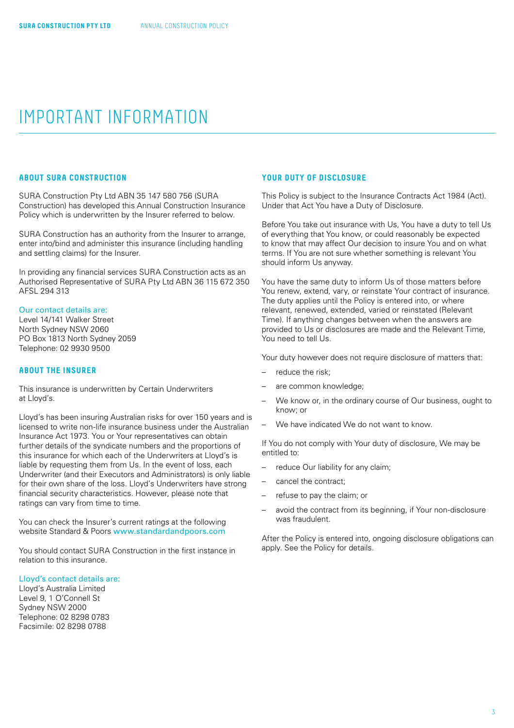## <span id="page-2-0"></span>IMPORTANT INFORMATION

## **ABOUT SURA CONSTRUCTION**

SURA Construction Pty Ltd ABN 35 147 580 756 (SURA Construction) has developed this Annual Construction Insurance Policy which is underwritten by the Insurer referred to below.

SURA Construction has an authority from the Insurer to arrange, enter into/bind and administer this insurance (including handling and settling claims) for the Insurer.

In providing any financial services SURA Construction acts as an Authorised Representative of SURA Pty Ltd ABN 36 115 672 350 AFSL 294 313

#### Our contact details are:

Level 14/141 Walker Street North Sydney NSW 2060 PO Box 1813 North Sydney 2059 Telephone: 02 9930 9500

## **ABOUT THE INSURER**

This insurance is underwritten by Certain Underwriters at Lloyd's.

Lloyd's has been insuring Australian risks for over 150 years and is licensed to write non-life insurance business under the Australian Insurance Act 1973. You or Your representatives can obtain further details of the syndicate numbers and the proportions of this insurance for which each of the Underwriters at Lloyd's is liable by requesting them from Us. In the event of loss, each Underwriter (and their Executors and Administrators) is only liable for their own share of the loss. Lloyd's Underwriters have strong financial security characteristics. However, please note that ratings can vary from time to time.

You can check the Insurer's current ratings at the following website Standard & Poors [www.standardandpoors.com](http://www.standardandpoors.com)

You should contact SURA Construction in the first instance in relation to this insurance.

#### Lloyd's contact details are:

Lloyd's Australia Limited Level 9, 1 O'Connell St Sydney NSW 2000 Telephone: 02 8298 0783 Facsimile: 02 8298 0788

## **YOUR DUTY OF DISCLOSURE**

This Policy is subject to the Insurance Contracts Act 1984 (Act). Under that Act You have a Duty of Disclosure.

Before You take out insurance with Us, You have a duty to tell Us of everything that You know, or could reasonably be expected to know that may affect Our decision to insure You and on what terms. If You are not sure whether something is relevant You should inform Us anyway.

You have the same duty to inform Us of those matters before You renew, extend, vary, or reinstate Your contract of insurance. The duty applies until the Policy is entered into, or where relevant, renewed, extended, varied or reinstated (Relevant Time). If anything changes between when the answers are provided to Us or disclosures are made and the Relevant Time, .<br>You need to tell Us.

Your duty however does not require disclosure of matters that:

- reduce the risk:
- are common knowledge;
- We know or, in the ordinary course of Our business, ought to know; or
- We have indicated We do not want to know.

If You do not comply with Your duty of disclosure, We may be entitled to:

- reduce Our liability for any claim;
- cancel the contract;
- refuse to pay the claim; or
- avoid the contract from its beginning, if Your non-disclosure was fraudulent.

After the Policy is entered into, ongoing disclosure obligations can apply. See the Policy for details.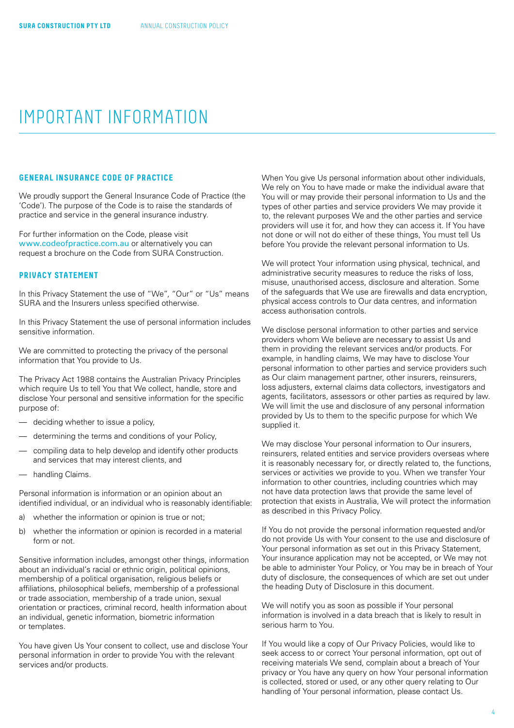## <span id="page-3-0"></span>IMPORTANT INFORMATION

## **GENERAL INSURANCE CODE OF PRACTICE**

We proudly support the General Insurance Code of Practice (the 'Code'). The purpose of the Code is to raise the standards of practice and service in the general insurance industry.

For further information on the Code, please visit [www.codeofpractice.com.au](http://www.codeofpractice.com.au) or alternatively you can request a brochure on the Code from SURA Construction.

## **PRIVACY STATEMENT**

In this Privacy Statement the use of "We", "Our" or "Us" means SURA and the Insurers unless specified otherwise.

In this Privacy Statement the use of personal information includes sensitive information.

We are committed to protecting the privacy of the personal information that You provide to Us.

The Privacy Act 1988 contains the Australian Privacy Principles which require Us to tell You that We collect, handle, store and disclose Your personal and sensitive information for the specific purpose of:

- deciding whether to issue a policy,
- determining the terms and conditions of your Policy,
- compiling data to help develop and identify other products and services that may interest clients, and
- handling Claims.

Personal information is information or an opinion about an identified individual, or an individual who is reasonably identifiable:

- a) whether the information or opinion is true or not;
- b) whether the information or opinion is recorded in a material form or not.

Sensitive information includes, amongst other things, information about an individual's racial or ethnic origin, political opinions, membership of a political organisation, religious beliefs or affiliations, philosophical beliefs, membership of a professional or trade association, membership of a trade union, sexual orientation or practices, criminal record, health information about an individual, genetic information, biometric information or templates.

You have given Us Your consent to collect, use and disclose Your personal information in order to provide You with the relevant services and/or products.

When You give Us personal information about other individuals, We rely on You to have made or make the individual aware that You will or may provide their personal information to Us and the types of other parties and service providers We may provide it to, the relevant purposes We and the other parties and service providers will use it for, and how they can access it. If You have not done or will not do either of these things, You must tell Us before You provide the relevant personal information to Us.

We will protect Your information using physical, technical, and administrative security measures to reduce the risks of loss, misuse, unauthorised access, disclosure and alteration. Some of the safeguards that We use are firewalls and data encryption, physical access controls to Our data centres, and information access authorisation controls.

We disclose personal information to other parties and service providers whom We believe are necessary to assist Us and them in providing the relevant services and/or products. For example, in handling claims, We may have to disclose Your personal information to other parties and service providers such as Our claim management partner, other insurers, reinsurers, loss adjusters, external claims data collectors, investigators and agents, facilitators, assessors or other parties as required by law. We will limit the use and disclosure of any personal information provided by Us to them to the specific purpose for which We supplied it.

We may disclose Your personal information to Our insurers. reinsurers, related entities and service providers overseas where it is reasonably necessary for, or directly related to, the functions, services or activities we provide to you. When we transfer Your information to other countries, including countries which may not have data protection laws that provide the same level of protection that exists in Australia, We will protect the information as described in this Privacy Policy.

If You do not provide the personal information requested and/or do not provide Us with Your consent to the use and disclosure of Your personal information as set out in this Privacy Statement, Your insurance application may not be accepted, or We may not be able to administer Your Policy, or You may be in breach of Your duty of disclosure, the consequences of which are set out under the heading Duty of Disclosure in this document.

We will notify you as soon as possible if Your personal information is involved in a data breach that is likely to result in serious harm to You.

If You would like a copy of Our Privacy Policies, would like to seek access to or correct Your personal information, opt out of receiving materials We send, complain about a breach of Your privacy or You have any query on how Your personal information is collected, stored or used, or any other query relating to Our handling of Your personal information, please contact Us.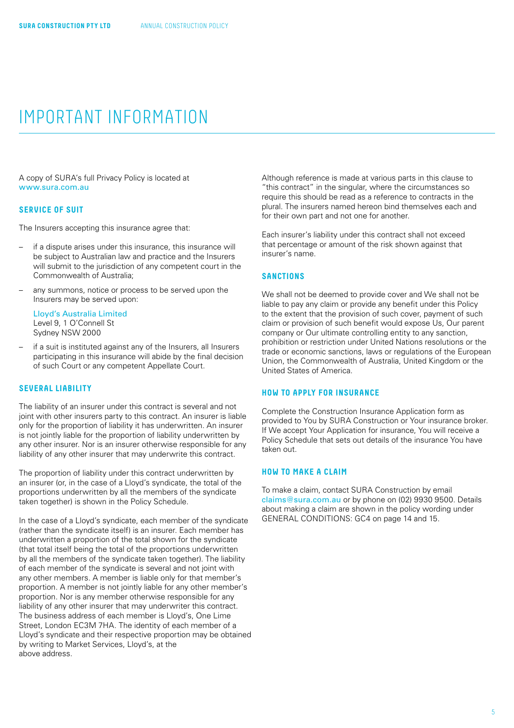## <span id="page-4-0"></span>IMPORTANT INFORMATION

A copy of SURA's full Privacy Policy is located at [www.sura.com.au](http://www.sura.com.au)

### **SERVICE OF SUIT**

The Insurers accepting this insurance agree that:

- if a dispute arises under this insurance, this insurance will be subject to Australian law and practice and the Insurers will submit to the jurisdiction of any competent court in the Commonwealth of Australia;
- any summons, notice or process to be served upon the Insurers may be served upon:

Lloyd's Australia Limited Level 9, 1 O'Connell St Sydney NSW 2000

– if a suit is instituted against any of the Insurers, all Insurers participating in this insurance will abide by the final decision of such Court or any competent Appellate Court.

## **SEVERAL LIABILITY**

The liability of an insurer under this contract is several and not joint with other insurers party to this contract. An insurer is liable only for the proportion of liability it has underwritten. An insurer is not jointly liable for the proportion of liability underwritten by any other insurer. Nor is an insurer otherwise responsible for any liability of any other insurer that may underwrite this contract.

The proportion of liability under this contract underwritten by an insurer (or, in the case of a Lloyd's syndicate, the total of the proportions underwritten by all the members of the syndicate taken together) is shown in the Policy Schedule.

In the case of a Lloyd's syndicate, each member of the syndicate (rather than the syndicate itself) is an insurer. Each member has underwritten a proportion of the total shown for the syndicate (that total itself being the total of the proportions underwritten by all the members of the syndicate taken together). The liability of each member of the syndicate is several and not joint with any other members. A member is liable only for that member's proportion. A member is not jointly liable for any other member's proportion. Nor is any member otherwise responsible for any liability of any other insurer that may underwriter this contract. The business address of each member is Lloyd's, One Lime Street, London EC3M 7HA. The identity of each member of a Lloyd's syndicate and their respective proportion may be obtained by writing to Market Services, Lloyd's, at the above address.

Although reference is made at various parts in this clause to "this contract" in the singular, where the circumstances so require this should be read as a reference to contracts in the plural. The insurers named hereon bind themselves each and for their own part and not one for another.

Each insurer's liability under this contract shall not exceed that percentage or amount of the risk shown against that insurer's name.

#### **SANCTIONS**

We shall not be deemed to provide cover and We shall not be liable to pay any claim or provide any benefit under this Policy to the extent that the provision of such cover, payment of such claim or provision of such benefit would expose Us, Our parent company or Our ultimate controlling entity to any sanction, prohibition or restriction under United Nations resolutions or the trade or economic sanctions, laws or regulations of the European Union, the Commonwealth of Australia, United Kingdom or the United States of America.

## **HOW TO APPLY FOR INSURANCE**

Complete the Construction Insurance Application form as provided to You by SURA Construction or Your insurance broker. If We accept Your Application for insurance, You will receive a Policy Schedule that sets out details of the insurance You have taken out.

## **HOW TO MAKE A CLAIM**

To make a claim, contact SURA Construction by email [claims@sura.com.au](mailto:claims%40sura.com.au?subject=) or by phone on (02) 9930 9500. Details about making a claim are shown in the policy wording under GENERAL CONDITIONS: GC4 on [page 14](#page-13-0) and [15](#page-14-0).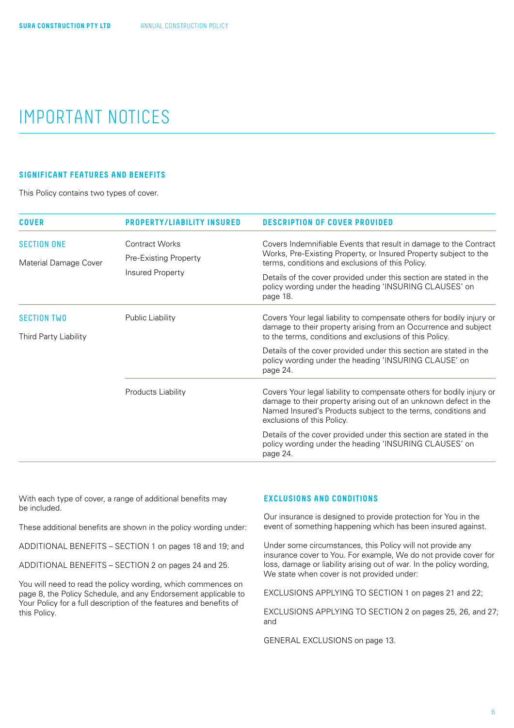## <span id="page-5-0"></span>IMPORTANT NOTICES

## **SIGNIFICANT FEATURES AND BENEFITS**

This Policy contains two types of cover.

| <b>COVER</b>                                | <b>PROPERTY/LIABILITY INSURED</b>                                  | <b>DESCRIPTION OF COVER PROVIDED</b>                                                                                                                                                                                                     |
|---------------------------------------------|--------------------------------------------------------------------|------------------------------------------------------------------------------------------------------------------------------------------------------------------------------------------------------------------------------------------|
| <b>SECTION ONE</b><br>Material Damage Cover | <b>Contract Works</b><br>Pre-Existing Property<br>Insured Property | Covers Indemnifiable Events that result in damage to the Contract<br>Works, Pre-Existing Property, or Insured Property subject to the<br>terms, conditions and exclusions of this Policy.                                                |
|                                             |                                                                    | Details of the cover provided under this section are stated in the<br>policy wording under the heading 'INSURING CLAUSES' on<br>page 18.                                                                                                 |
| <b>SECTION TWO</b>                          | Public Liability                                                   | Covers Your legal liability to compensate others for bodily injury or                                                                                                                                                                    |
| Third Party Liability                       |                                                                    | damage to their property arising from an Occurrence and subject<br>to the terms, conditions and exclusions of this Policy.                                                                                                               |
|                                             |                                                                    | Details of the cover provided under this section are stated in the<br>policy wording under the heading 'INSURING CLAUSE' on<br>page 24.                                                                                                  |
|                                             | Products Liability                                                 | Covers Your legal liability to compensate others for bodily injury or<br>damage to their property arising out of an unknown defect in the<br>Named Insured's Products subject to the terms, conditions and<br>exclusions of this Policy. |
|                                             |                                                                    | Details of the cover provided under this section are stated in the<br>policy wording under the heading 'INSURING CLAUSES' on<br>page 24.                                                                                                 |

With each type of cover, a range of additional benefits may be included.

These additional benefits are shown in the policy wording under:

ADDITIONAL BENEFITS – SECTION 1 on [pages 18](#page-17-0) and [19;](#page-18-0) and

ADDITIONAL BENEFITS – SECTION 2 on [pages 24](#page-23-0) and [25](#page-24-0).

You will need to read the policy wording, which commences on [page 8,](#page-7-0) the Policy Schedule, and any Endorsement applicable to Your Policy for a full description of the features and benefits of this Policy.

## **EXCLUSIONS AND CONDITIONS**

Our insurance is designed to provide protection for You in the event of something happening which has been insured against.

Under some circumstances, this Policy will not provide any insurance cover to You. For example, We do not provide cover for loss, damage or liability arising out of war. In the policy wording, We state when cover is not provided under:

EXCLUSIONS APPLYING TO SECTION 1 on [pages 21](#page-20-0) and [22;](#page-21-0)

EXCLUSIONS APPLYING TO SECTION 2 on [pages 25,](#page-24-0) [26](#page-25-0), and [27;](#page-26-0) and

GENERAL EXCLUSIONS on [page 13.](#page-12-0)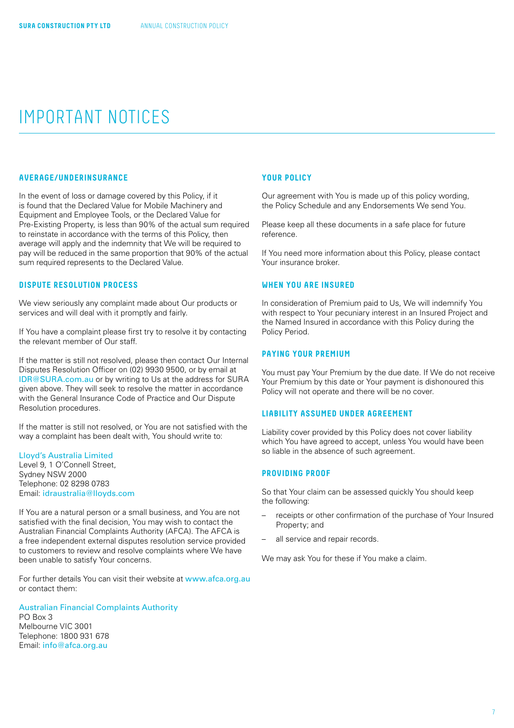## <span id="page-6-0"></span>IMPORTANT NOTICES

## **AVERAGE/UNDERINSURANCE**

In the event of loss or damage covered by this Policy, if it is found that the Declared Value for Mobile Machinery and Equipment and Employee Tools, or the Declared Value for Pre-Existing Property, is less than 90% of the actual sum required to reinstate in accordance with the terms of this Policy, then average will apply and the indemnity that We will be required to pay will be reduced in the same proportion that 90% of the actual sum required represents to the Declared Value.

#### **DISPUTE RESOLUTION PROCESS**

We view seriously any complaint made about Our products or services and will deal with it promptly and fairly.

If You have a complaint please first try to resolve it by contacting the relevant member of Our staff.

If the matter is still not resolved, please then contact Our Internal Disputes Resolution Officer on (02) 9930 9500, or by email at [IDR@SURA.com.au](mailto:IDR%40SURA.com.au?subject=) or by writing to Us at the address for SURA given above. They will seek to resolve the matter in accordance with the General Insurance Code of Practice and Our Dispute Resolution procedures.

If the matter is still not resolved, or You are not satisfied with the way a complaint has been dealt with, You should write to:

## Lloyd's Australia Limited

Level 9, 1 O'Connell Street, Sydney NSW 2000 Telephone: 02 8298 0783 Email: [idraustralia@lloyds.com](mailto:idraustralia%40lloyds.com?subject=)

If You are a natural person or a small business, and You are not satisfied with the final decision, You may wish to contact the Australian Financial Complaints Authority (AFCA). The AFCA is a free independent external disputes resolution service provided to customers to review and resolve complaints where We have been unable to satisfy Your concerns.

For further details You can visit their website at [www.afca.org.au](http://www.afca.org.au) or contact them:

#### Australian Financial Complaints Authority

PO Box 3 Melbourne VIC 3001 Telephone: 1800 931 678 Email: [info@afca.org.au](mailto:info%40afca.org.au?subject=)

#### **YOUR POLICY**

Our agreement with You is made up of this policy wording, the Policy Schedule and any Endorsements We send You.

Please keep all these documents in a safe place for future reference.

If You need more information about this Policy, please contact Your insurance broker.

#### **WHEN YOU ARE INSURED**

In consideration of Premium paid to Us, We will indemnify You with respect to Your pecuniary interest in an Insured Project and the Named Insured in accordance with this Policy during the Policy Period.

### **PAYING YOUR PREMIUM**

You must pay Your Premium by the due date. If We do not receive Your Premium by this date or Your payment is dishonoured this Policy will not operate and there will be no cover.

## **LIABILITY ASSUMED UNDER AGREEMENT**

Liability cover provided by this Policy does not cover liability which You have agreed to accept, unless You would have been so liable in the absence of such agreement.

## **PROVIDING PROOF**

So that Your claim can be assessed quickly You should keep the following:

- receipts or other confirmation of the purchase of Your Insured Property; and
- all service and repair records.

We may ask You for these if You make a claim.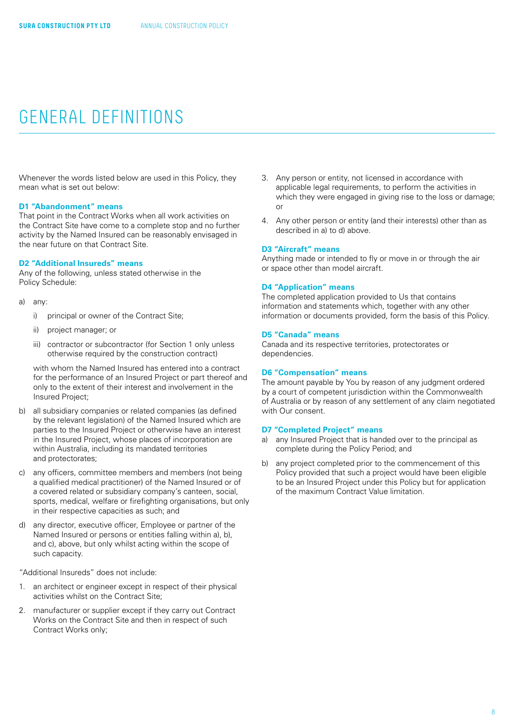<span id="page-7-0"></span>Whenever the words listed below are used in this Policy, they mean what is set out below:

## **D1 "Abandonment" means**

That point in the Contract Works when all work activities on the Contract Site have come to a complete stop and no further activity by the Named Insured can be reasonably envisaged in the near future on that Contract Site.

#### **D2 "Additional Insureds" means**

Any of the following, unless stated otherwise in the Policy Schedule:

- a) any:
	- i) principal or owner of the Contract Site;
	- ii) project manager; or
	- iii) contractor or subcontractor (for Section 1 only unless otherwise required by the construction contract)

with whom the Named Insured has entered into a contract for the performance of an Insured Project or part thereof and only to the extent of their interest and involvement in the Insured Project;

- b) all subsidiary companies or related companies (as defined by the relevant legislation) of the Named Insured which are parties to the Insured Project or otherwise have an interest in the Insured Project, whose places of incorporation are within Australia, including its mandated territories and protectorates;
- c) any officers, committee members and members (not being a qualified medical practitioner) of the Named Insured or of a covered related or subsidiary company's canteen, social, sports, medical, welfare or firefighting organisations, but only in their respective capacities as such; and
- d) any director, executive officer, Employee or partner of the Named Insured or persons or entities falling within a), b), and c), above, but only whilst acting within the scope of such capacity.

"Additional Insureds" does not include:

- an architect or engineer except in respect of their physical activities whilst on the Contract Site;
- 2. manufacturer or supplier except if they carry out Contract Works on the Contract Site and then in respect of such Contract Works only;
- 3. Any person or entity, not licensed in accordance with applicable legal requirements, to perform the activities in which they were engaged in giving rise to the loss or damage; or
- 4. Any other person or entity (and their interests) other than as described in a) to d) above.

#### **D3 "Aircraft" means**

Anything made or intended to fly or move in or through the air or space other than model aircraft.

#### **D4 "Application" means**

The completed application provided to Us that contains information and statements which, together with any other information or documents provided, form the basis of this Policy.

#### **D5 "Canada" means**

Canada and its respective territories, protectorates or dependencies.

#### **D6 "Compensation" means**

The amount payable by You by reason of any judgment ordered by a court of competent jurisdiction within the Commonwealth of Australia or by reason of any settlement of any claim negotiated with Our consent.

### **D7 "Completed Project" means**

- a) any Insured Project that is handed over to the principal as complete during the Policy Period; and
- b) any project completed prior to the commencement of this Policy provided that such a project would have been eligible to be an Insured Project under this Policy but for application of the maximum Contract Value limitation.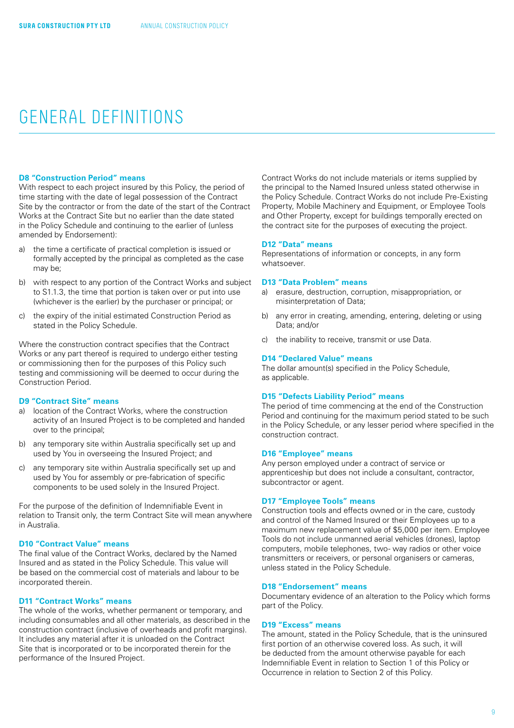#### **D8 "Construction Period" means**

With respect to each project insured by this Policy, the period of time starting with the date of legal possession of the Contract Site by the contractor or from the date of the start of the Contract Works at the Contract Site but no earlier than the date stated in the Policy Schedule and continuing to the earlier of (unless amended by Endorsement):

- a) the time a certificate of practical completion is issued or formally accepted by the principal as completed as the case may be;
- b) with respect to any portion of the Contract Works and subject to S1.1.3, the time that portion is taken over or put into use (whichever is the earlier) by the purchaser or principal; or
- c) the expiry of the initial estimated Construction Period as stated in the Policy Schedule.

Where the construction contract specifies that the Contract Works or any part thereof is required to undergo either testing or commissioning then for the purposes of this Policy such testing and commissioning will be deemed to occur during the Construction Period.

### **D9 "Contract Site" means**

- a) location of the Contract Works, where the construction activity of an Insured Project is to be completed and handed over to the principal;
- b) any temporary site within Australia specifically set up and used by You in overseeing the Insured Project; and
- c) any temporary site within Australia specifically set up and used by You for assembly or pre-fabrication of specific components to be used solely in the Insured Project.

For the purpose of the definition of Indemnifiable Event in relation to Transit only, the term Contract Site will mean anywhere in Australia.

#### **D10 "Contract Value" means**

The final value of the Contract Works, declared by the Named Insured and as stated in the Policy Schedule. This value will be based on the commercial cost of materials and labour to be incorporated therein.

## **D11 "Contract Works" means**

The whole of the works, whether permanent or temporary, and including consumables and all other materials, as described in the construction contract (inclusive of overheads and profit margins). It includes any material after it is unloaded on the Contract Site that is incorporated or to be incorporated therein for the performance of the Insured Project.

Contract Works do not include materials or items supplied by the principal to the Named Insured unless stated otherwise in the Policy Schedule. Contract Works do not include Pre-Existing Property, Mobile Machinery and Equipment, or Employee Tools and Other Property, except for buildings temporally erected on the contract site for the purposes of executing the project.

#### **D12 "Data" means**

Representations of information or concepts, in any form whatsoever.

### **D13 "Data Problem" means**

- a) erasure, destruction, corruption, misappropriation, or misinterpretation of Data;
- b) any error in creating, amending, entering, deleting or using Data; and/or
- c) the inability to receive, transmit or use Data.

#### **D14 "Declared Value" means**

The dollar amount(s) specified in the Policy Schedule, as applicable.

#### **D15 "Defects Liability Period" means**

The period of time commencing at the end of the Construction Period and continuing for the maximum period stated to be such in the Policy Schedule, or any lesser period where specified in the construction contract.

#### **D16 "Employee" means**

Any person employed under a contract of service or apprenticeship but does not include a consultant, contractor, subcontractor or agent.

#### **D17 "Employee Tools" means**

Construction tools and effects owned or in the care, custody and control of the Named Insured or their Employees up to a maximum new replacement value of \$5,000 per item. Employee Tools do not include unmanned aerial vehicles (drones), laptop computers, mobile telephones, two- way radios or other voice transmitters or receivers, or personal organisers or cameras, unless stated in the Policy Schedule.

#### **D18 "Endorsement" means**

Documentary evidence of an alteration to the Policy which forms part of the Policy.

#### **D19 "Excess" means**

The amount, stated in the Policy Schedule, that is the uninsured first portion of an otherwise covered loss. As such, it will be deducted from the amount otherwise payable for each Indemnifiable Event in relation to Section 1 of this Policy or Occurrence in relation to Section 2 of this Policy.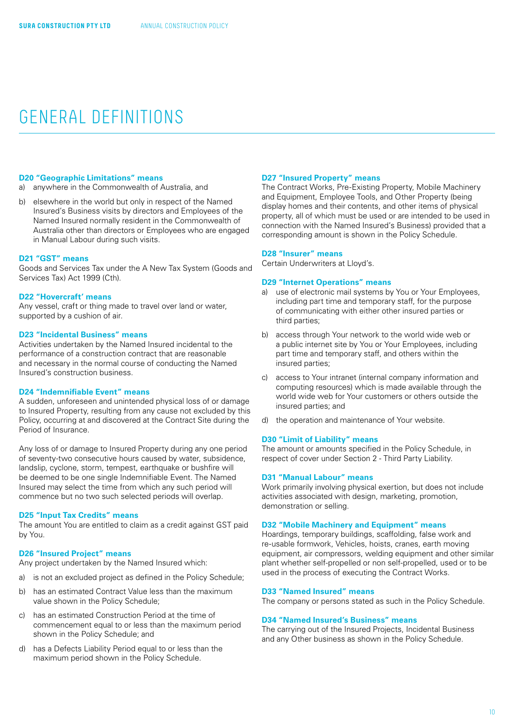#### **D20 "Geographic Limitations" means**

- a) anywhere in the Commonwealth of Australia, and
- b) elsewhere in the world but only in respect of the Named Insured's Business visits by directors and Employees of the Named Insured normally resident in the Commonwealth of Australia other than directors or Employees who are engaged in Manual Labour during such visits.

#### **D21 "GST" means**

Goods and Services Tax under the A New Tax System (Goods and Services Tax) Act 1999 (Cth).

#### **D22 "Hovercraft' means**

Any vessel, craft or thing made to travel over land or water, supported by a cushion of air.

### **D23 "Incidental Business" means**

Activities undertaken by the Named Insured incidental to the performance of a construction contract that are reasonable and necessary in the normal course of conducting the Named Insured's construction business.

## **D24 "Indemnifiable Event" means**

A sudden, unforeseen and unintended physical loss of or damage to Insured Property, resulting from any cause not excluded by this Policy, occurring at and discovered at the Contract Site during the Period of Insurance.

Any loss of or damage to Insured Property during any one period of seventy-two consecutive hours caused by water, subsidence, landslip, cyclone, storm, tempest, earthquake or bushfire will be deemed to be one single Indemnifiable Event. The Named Insured may select the time from which any such period will commence but no two such selected periods will overlap.

#### **D25 "Input Tax Credits" means**

The amount You are entitled to claim as a credit against GST paid by You.

#### **D26 "Insured Project" means**

Any project undertaken by the Named Insured which:

- a) is not an excluded project as defined in the Policy Schedule;
- b) has an estimated Contract Value less than the maximum value shown in the Policy Schedule;
- c) has an estimated Construction Period at the time of commencement equal to or less than the maximum period shown in the Policy Schedule; and
- d) has a Defects Liability Period equal to or less than the maximum period shown in the Policy Schedule.

## **D27 "Insured Property" means**

The Contract Works, Pre-Existing Property, Mobile Machinery and Equipment, Employee Tools, and Other Property (being display homes and their contents, and other items of physical property, all of which must be used or are intended to be used in connection with the Named Insured's Business) provided that a corresponding amount is shown in the Policy Schedule.

#### **D28 "Insurer" means**

Certain Underwriters at Lloyd's.

### **D29 "Internet Operations" means**

- a) use of electronic mail systems by You or Your Employees, including part time and temporary staff, for the purpose of communicating with either other insured parties or third parties;
- b) access through Your network to the world wide web or a public internet site by You or Your Employees, including part time and temporary staff, and others within the insured parties;
- c) access to Your intranet (internal company information and computing resources) which is made available through the world wide web for Your customers or others outside the insured parties; and
- d) the operation and maintenance of Your website.

## **D30 "Limit of Liability" means**

The amount or amounts specified in the Policy Schedule, in respect of cover under Section 2 - Third Party Liability.

#### **D31 "Manual Labour" means**

Work primarily involving physical exertion, but does not include activities associated with design, marketing, promotion, demonstration or selling.

## **D32 "Mobile Machinery and Equipment" means**

Hoardings, temporary buildings, scaffolding, false work and re-usable formwork, Vehicles, hoists, cranes, earth moving equipment, air compressors, welding equipment and other similar plant whether self-propelled or non self-propelled, used or to be used in the process of executing the Contract Works.

#### **D33 "Named Insured" means**

The company or persons stated as such in the Policy Schedule.

#### **D34 "Named Insured's Business" means**

The carrying out of the Insured Projects, Incidental Business and any Other business as shown in the Policy Schedule.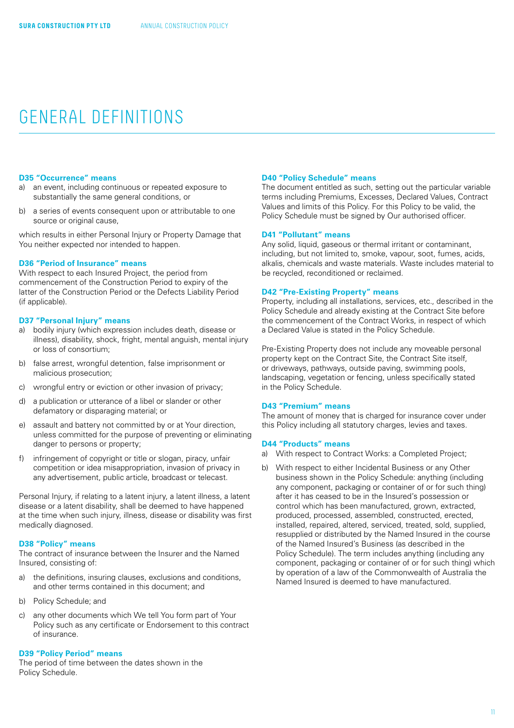#### **D35 "Occurrence" means**

- a) an event, including continuous or repeated exposure to substantially the same general conditions, or
- b) a series of events consequent upon or attributable to one source or original cause,

which results in either Personal Injury or Property Damage that You neither expected nor intended to happen.

#### **D36 "Period of Insurance" means**

With respect to each Insured Project, the period from commencement of the Construction Period to expiry of the latter of the Construction Period or the Defects Liability Period (if applicable).

#### **D37 "Personal Injury" means**

- a) bodily injury (which expression includes death, disease or illness), disability, shock, fright, mental anguish, mental injury or loss of consortium;
- b) false arrest, wrongful detention, false imprisonment or malicious prosecution;
- c) wrongful entry or eviction or other invasion of privacy;
- d) a publication or utterance of a libel or slander or other defamatory or disparaging material; or
- e) assault and battery not committed by or at Your direction, unless committed for the purpose of preventing or eliminating danger to persons or property;
- f) infringement of copyright or title or slogan, piracy, unfair competition or idea misappropriation, invasion of privacy in any advertisement, public article, broadcast or telecast.

Personal Injury, if relating to a latent injury, a latent illness, a latent disease or a latent disability, shall be deemed to have happened at the time when such injury, illness, disease or disability was first medically diagnosed.

### **D38 "Policy" means**

The contract of insurance between the Insurer and the Named Insured, consisting of:

- a) the definitions, insuring clauses, exclusions and conditions, and other terms contained in this document; and
- b) Policy Schedule; and
- c) any other documents which We tell You form part of Your Policy such as any certificate or Endorsement to this contract of insurance.

#### **D39 "Policy Period" means**

The period of time between the dates shown in the Policy Schedule.

#### **D40 "Policy Schedule" means**

The document entitled as such, setting out the particular variable terms including Premiums, Excesses, Declared Values, Contract Values and limits of this Policy. For this Policy to be valid, the Policy Schedule must be signed by Our authorised officer.

#### **D41 "Pollutant" means**

Any solid, liquid, gaseous or thermal irritant or contaminant, including, but not limited to, smoke, vapour, soot, fumes, acids, alkalis, chemicals and waste materials. Waste includes material to be recycled, reconditioned or reclaimed.

#### **D42 "Pre-Existing Property" means**

Property, including all installations, services, etc., described in the Policy Schedule and already existing at the Contract Site before the commencement of the Contract Works, in respect of which a Declared Value is stated in the Policy Schedule.

Pre-Existing Property does not include any moveable personal property kept on the Contract Site, the Contract Site itself, or driveways, pathways, outside paving, swimming pools, landscaping, vegetation or fencing, unless specifically stated in the Policy Schedule.

## **D43 "Premium" means**

The amount of money that is charged for insurance cover under this Policy including all statutory charges, levies and taxes.

#### **D44 "Products" means**

- a) With respect to Contract Works: a Completed Project;
- b) With respect to either Incidental Business or any Other business shown in the Policy Schedule: anything (including any component, packaging or container of or for such thing) after it has ceased to be in the Insured's possession or control which has been manufactured, grown, extracted, produced, processed, assembled, constructed, erected, installed, repaired, altered, serviced, treated, sold, supplied, resupplied or distributed by the Named Insured in the course of the Named Insured's Business (as described in the Policy Schedule). The term includes anything (including any component, packaging or container of or for such thing) which by operation of a law of the Commonwealth of Australia the Named Insured is deemed to have manufactured.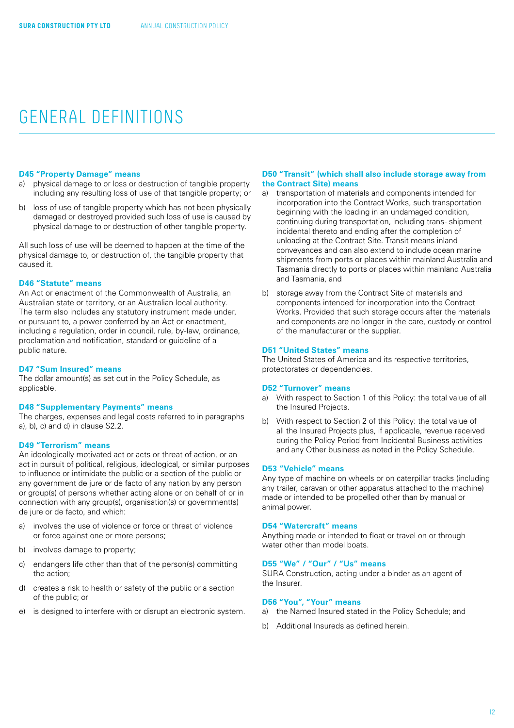#### **D45 "Property Damage" means**

- physical damage to or loss or destruction of tangible property including any resulting loss of use of that tangible property; or
- b) loss of use of tangible property which has not been physically damaged or destroyed provided such loss of use is caused by physical damage to or destruction of other tangible property.

All such loss of use will be deemed to happen at the time of the physical damage to, or destruction of, the tangible property that caused it.

#### **D46 "Statute" means**

An Act or enactment of the Commonwealth of Australia, an Australian state or territory, or an Australian local authority. The term also includes any statutory instrument made under, or pursuant to, a power conferred by an Act or enactment, including a regulation, order in council, rule, by-law, ordinance, proclamation and notification, standard or guideline of a public nature.

### **D47 "Sum Insured" means**

The dollar amount(s) as set out in the Policy Schedule, as applicable.

#### **D48 "Supplementary Payments" means**

The charges, expenses and legal costs referred to in paragraphs a), b), c) and d) in clause S2.2.

## **D49 "Terrorism" means**

An ideologically motivated act or acts or threat of action, or an act in pursuit of political, religious, ideological, or similar purposes to influence or intimidate the public or a section of the public or any government de jure or de facto of any nation by any person or group(s) of persons whether acting alone or on behalf of or in connection with any group(s), organisation(s) or government(s) de jure or de facto, and which:

- a) involves the use of violence or force or threat of violence or force against one or more persons;
- b) involves damage to property;
- c) endangers life other than that of the person(s) committing the action;
- d) creates a risk to health or safety of the public or a section of the public; or
- e) is designed to interfere with or disrupt an electronic system.

#### **D50 "Transit" (which shall also include storage away from the Contract Site) means**

- a) transportation of materials and components intended for incorporation into the Contract Works, such transportation beginning with the loading in an undamaged condition, continuing during transportation, including trans- shipment incidental thereto and ending after the completion of unloading at the Contract Site. Transit means inland conveyances and can also extend to include ocean marine shipments from ports or places within mainland Australia and Tasmania directly to ports or places within mainland Australia and Tasmania, and
- b) storage away from the Contract Site of materials and components intended for incorporation into the Contract Works. Provided that such storage occurs after the materials and components are no longer in the care, custody or control of the manufacturer or the supplier.

#### **D51 "United States" means**

The United States of America and its respective territories, protectorates or dependencies.

#### **D52 "Turnover" means**

- a) With respect to Section 1 of this Policy: the total value of all the Insured Projects.
- b) With respect to Section 2 of this Policy: the total value of all the Insured Projects plus, if applicable, revenue received during the Policy Period from Incidental Business activities and any Other business as noted in the Policy Schedule.

#### **D53 "Vehicle" means**

Any type of machine on wheels or on caterpillar tracks (including any trailer, caravan or other apparatus attached to the machine) made or intended to be propelled other than by manual or animal power.

#### **D54 "Watercraft" means**

Anything made or intended to float or travel on or through water other than model boats.

#### **D55 "We" / "Our" / "Us" means**

SURA Construction, acting under a binder as an agent of the Insurer.

## **D56 "You", "Your" means**

- a) the Named Insured stated in the Policy Schedule; and
- b) Additional Insureds as defined herein.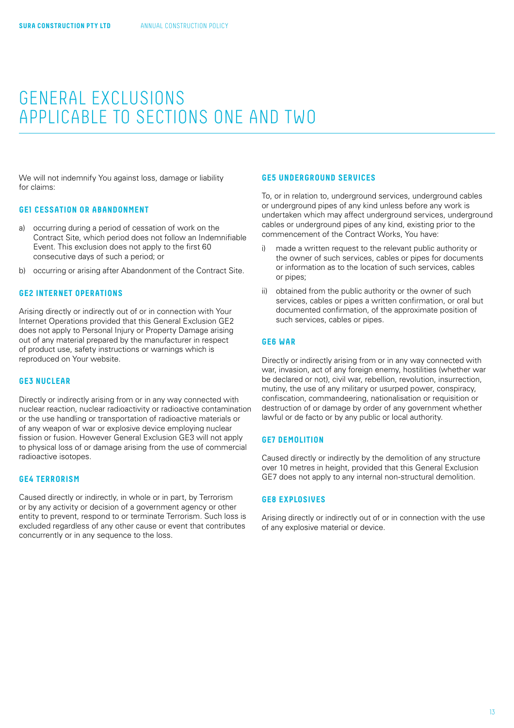<span id="page-12-0"></span>We will not indemnify You against loss, damage or liability for claims:

#### **GE1 CESSATION OR ABANDONMENT**

- a) occurring during a period of cessation of work on the Contract Site, which period does not follow an Indemnifiable Event. This exclusion does not apply to the first 60 consecutive days of such a period; or
- b) occurring or arising after Abandonment of the Contract Site.

## **GE2 INTERNET OPERATIONS**

Arising directly or indirectly out of or in connection with Your Internet Operations provided that this General Exclusion GE2 does not apply to Personal Injury or Property Damage arising out of any material prepared by the manufacturer in respect of product use, safety instructions or warnings which is reproduced on Your website.

## **GE3 NUCLEAR**

Directly or indirectly arising from or in any way connected with nuclear reaction, nuclear radioactivity or radioactive contamination or the use handling or transportation of radioactive materials or of any weapon of war or explosive device employing nuclear fission or fusion. However General Exclusion GE3 will not apply to physical loss of or damage arising from the use of commercial radioactive isotopes.

## **GE4 TERRORISM**

Caused directly or indirectly, in whole or in part, by Terrorism or by any activity or decision of a government agency or other entity to prevent, respond to or terminate Terrorism. Such loss is excluded regardless of any other cause or event that contributes concurrently or in any sequence to the loss.

## **GE5 UNDERGROUND SERVICES**

To, or in relation to, underground services, underground cables or underground pipes of any kind unless before any work is undertaken which may affect underground services, underground cables or underground pipes of any kind, existing prior to the commencement of the Contract Works, You have:

- i) made a written request to the relevant public authority or the owner of such services, cables or pipes for documents or information as to the location of such services, cables or pipes;
- ii) obtained from the public authority or the owner of such services, cables or pipes a written confirmation, or oral but documented confirmation, of the approximate position of such services, cables or pipes.

### **GE6 WAR**

Directly or indirectly arising from or in any way connected with war, invasion, act of any foreign enemy, hostilities (whether war be declared or not), civil war, rebellion, revolution, insurrection, mutiny, the use of any military or usurped power, conspiracy, confiscation, commandeering, nationalisation or requisition or destruction of or damage by order of any government whether lawful or de facto or by any public or local authority.

## **GE7 DEMOLITION**

Caused directly or indirectly by the demolition of any structure over 10 metres in height, provided that this General Exclusion GE7 does not apply to any internal non-structural demolition.

#### **GE8 EXPLOSIVES**

Arising directly or indirectly out of or in connection with the use of any explosive material or device.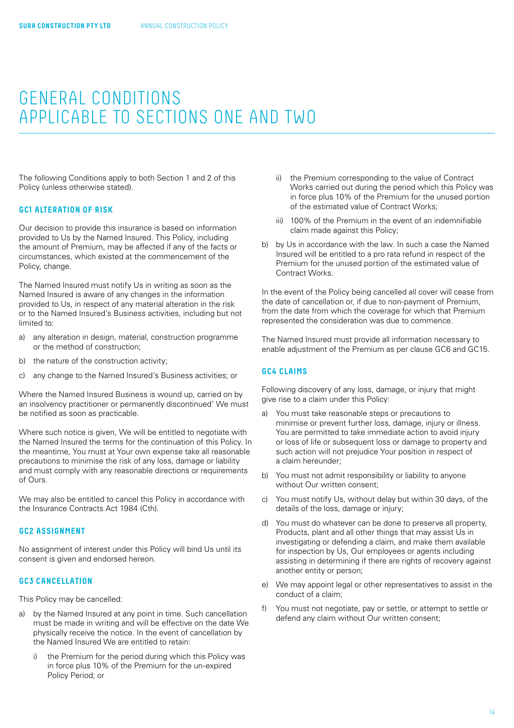<span id="page-13-0"></span>The following Conditions apply to both Section 1 and 2 of this Policy (unless otherwise stated).

## **GC1 ALTERATION OF RISK**

Our decision to provide this insurance is based on information provided to Us by the Named Insured. This Policy, including the amount of Premium, may be affected if any of the facts or circumstances, which existed at the commencement of the Policy, change.

The Named Insured must notify Us in writing as soon as the Named Insured is aware of any changes in the information provided to Us, in respect of any material alteration in the risk or to the Named Insured's Business activities, including but not limited to:

- a) any alteration in design, material, construction programme or the method of construction;
- b) the nature of the construction activity;
- c) any change to the Named Insured's Business activities; or

Where the Named Insured Business is wound up, carried on by an insolvency practitioner or permanently discontinued' We must be notified as soon as practicable.

Where such notice is given, We will be entitled to negotiate with the Named Insured the terms for the continuation of this Policy. In the meantime, You must at Your own expense take all reasonable precautions to minimise the risk of any loss, damage or liability and must comply with any reasonable directions or requirements of Ours.

We may also be entitled to cancel this Policy in accordance with the Insurance Contracts Act 1984 (Cth).

#### **GC2 ASSIGNMENT**

No assignment of interest under this Policy will bind Us until its consent is given and endorsed hereon.

## **GC3 CANCELLATION**

This Policy may be cancelled:

- a) by the Named Insured at any point in time. Such cancellation must be made in writing and will be effective on the date We physically receive the notice. In the event of cancellation by the Named Insured We are entitled to retain:
	- i) the Premium for the period during which this Policy was in force plus 10% of the Premium for the un-expired Policy Period; or
- ii) the Premium corresponding to the value of Contract Works carried out during the period which this Policy was in force plus 10% of the Premium for the unused portion of the estimated value of Contract Works;
- iii) 100% of the Premium in the event of an indemnifiable claim made against this Policy;
- b) by Us in accordance with the law. In such a case the Named Insured will be entitled to a pro rata refund in respect of the Premium for the unused portion of the estimated value of Contract Works.

In the event of the Policy being cancelled all cover will cease from the date of cancellation or, if due to non-payment of Premium, from the date from which the coverage for which that Premium represented the consideration was due to commence.

The Named Insured must provide all information necessary to enable adjustment of the Premium as per clause GC6 and GC15.

#### **GC4 CLAIMS**

Following discovery of any loss, damage, or injury that might give rise to a claim under this Policy:

- a) You must take reasonable steps or precautions to minimise or prevent further loss, damage, injury or illness. You are permitted to take immediate action to avoid injury or loss of life or subsequent loss or damage to property and such action will not prejudice Your position in respect of a claim hereunder;
- b) You must not admit responsibility or liability to anyone without Our written consent;
- c) You must notify Us, without delay but within 30 days, of the details of the loss, damage or injury;
- d) You must do whatever can be done to preserve all property, Products, plant and all other things that may assist Us in investigating or defending a claim, and make them available for inspection by Us, Our employees or agents including assisting in determining if there are rights of recovery against another entity or person;
- e) We may appoint legal or other representatives to assist in the conduct of a claim;
- f) You must not negotiate, pay or settle, or attempt to settle or defend any claim without Our written consent;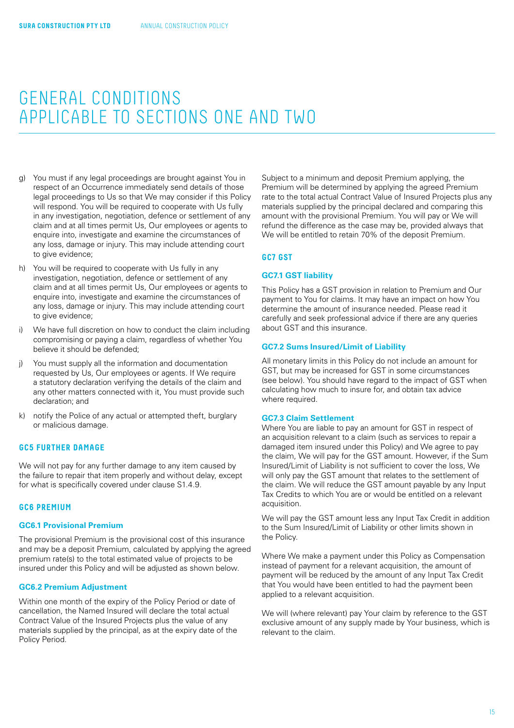- <span id="page-14-0"></span>g) You must if any legal proceedings are brought against You in respect of an Occurrence immediately send details of those legal proceedings to Us so that We may consider if this Policy will respond. You will be required to cooperate with Us fully in any investigation, negotiation, defence or settlement of any claim and at all times permit Us, Our employees or agents to enquire into, investigate and examine the circumstances of any loss, damage or injury. This may include attending court to give evidence;
- h) You will be required to cooperate with Us fully in any investigation, negotiation, defence or settlement of any claim and at all times permit Us, Our employees or agents to enquire into, investigate and examine the circumstances of any loss, damage or injury. This may include attending court to give evidence;
- i) We have full discretion on how to conduct the claim including compromising or paying a claim, regardless of whether You believe it should be defended;
- j) You must supply all the information and documentation requested by Us, Our employees or agents. If We require a statutory declaration verifying the details of the claim and any other matters connected with it, You must provide such declaration; and
- k) notify the Police of any actual or attempted theft, burglary or malicious damage.

#### **GC5 FURTHER DAMAGE**

We will not pay for any further damage to any item caused by the failure to repair that item properly and without delay, except for what is specifically covered under clause S1.4.9.

## **GC6 PREMIUM**

### **GC6.1 Provisional Premium**

The provisional Premium is the provisional cost of this insurance and may be a deposit Premium, calculated by applying the agreed premium rate(s) to the total estimated value of projects to be insured under this Policy and will be adjusted as shown below.

#### **GC6.2 Premium Adjustment**

Within one month of the expiry of the Policy Period or date of cancellation, the Named Insured will declare the total actual Contract Value of the Insured Projects plus the value of any materials supplied by the principal, as at the expiry date of the Policy Period.

Subject to a minimum and deposit Premium applying, the Premium will be determined by applying the agreed Premium rate to the total actual Contract Value of Insured Projects plus any materials supplied by the principal declared and comparing this amount with the provisional Premium. You will pay or We will refund the difference as the case may be, provided always that We will be entitled to retain 70% of the deposit Premium.

#### **GC7 GST**

#### **GC7.1 GST liability**

This Policy has a GST provision in relation to Premium and Our payment to You for claims. It may have an impact on how You determine the amount of insurance needed. Please read it carefully and seek professional advice if there are any queries about GST and this insurance.

#### **GC7.2 Sums Insured/Limit of Liability**

All monetary limits in this Policy do not include an amount for GST, but may be increased for GST in some circumstances (see below). You should have regard to the impact of GST when calculating how much to insure for, and obtain tax advice where required.

#### **GC7.3 Claim Settlement**

Where You are liable to pay an amount for GST in respect of an acquisition relevant to a claim (such as services to repair a damaged item insured under this Policy) and We agree to pay the claim, We will pay for the GST amount. However, if the Sum Insured/Limit of Liability is not sufficient to cover the loss, We will only pay the GST amount that relates to the settlement of the claim. We will reduce the GST amount payable by any Input Tax Credits to which You are or would be entitled on a relevant acquisition.

We will pay the GST amount less any Input Tax Credit in addition to the Sum Insured/Limit of Liability or other limits shown in the Policy.

Where We make a payment under this Policy as Compensation instead of payment for a relevant acquisition, the amount of payment will be reduced by the amount of any Input Tax Credit that You would have been entitled to had the payment been applied to a relevant acquisition.

We will (where relevant) pay Your claim by reference to the GST exclusive amount of any supply made by Your business, which is relevant to the claim.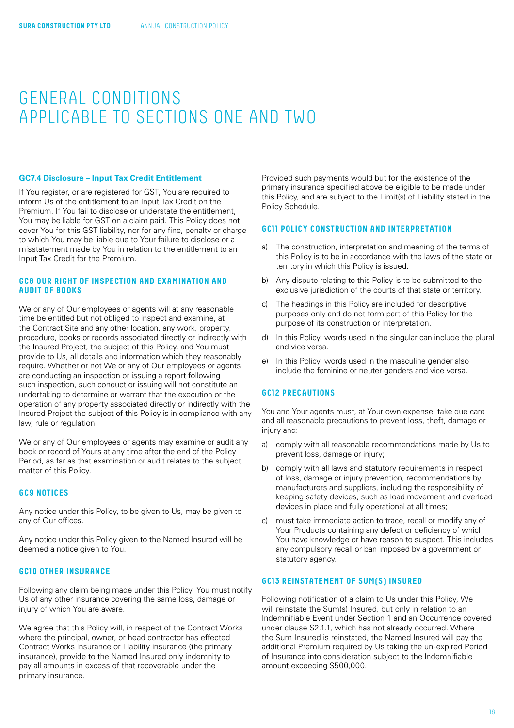#### **GC7.4 Disclosure – Input Tax Credit Entitlement**

If You register, or are registered for GST, You are required to inform Us of the entitlement to an Input Tax Credit on the Premium. If You fail to disclose or understate the entitlement, You may be liable for GST on a claim paid. This Policy does not cover You for this GST liability, nor for any fine, penalty or charge to which You may be liable due to Your failure to disclose or a misstatement made by You in relation to the entitlement to an Input Tax Credit for the Premium.

## **GC8 OUR RIGHT OF INSPECTION AND EXAMINATION AND AUDIT OF BOOKS**

We or any of Our employees or agents will at any reasonable time be entitled but not obliged to inspect and examine, at the Contract Site and any other location, any work, property, procedure, books or records associated directly or indirectly with the Insured Project, the subject of this Policy, and You must provide to Us, all details and information which they reasonably require. Whether or not We or any of Our employees or agents are conducting an inspection or issuing a report following such inspection, such conduct or issuing will not constitute an undertaking to determine or warrant that the execution or the operation of any property associated directly or indirectly with the Insured Project the subject of this Policy is in compliance with any law, rule or regulation.

We or any of Our employees or agents may examine or audit any book or record of Yours at any time after the end of the Policy Period, as far as that examination or audit relates to the subject matter of this Policy.

### **GC9 NOTICES**

Any notice under this Policy, to be given to Us, may be given to any of Our offices.

Any notice under this Policy given to the Named Insured will be deemed a notice given to You.

#### **GC10 OTHER INSURANCE**

Following any claim being made under this Policy, You must notify Us of any other insurance covering the same loss, damage or injury of which You are aware.

We agree that this Policy will, in respect of the Contract Works where the principal, owner, or head contractor has effected Contract Works insurance or Liability insurance (the primary insurance), provide to the Named Insured only indemnity to pay all amounts in excess of that recoverable under the primary insurance.

Provided such payments would but for the existence of the primary insurance specified above be eligible to be made under this Policy, and are subject to the Limit(s) of Liability stated in the Policy Schedule.

#### **GC11 POLICY CONSTRUCTION AND INTERPRETATION**

- a) The construction, interpretation and meaning of the terms of this Policy is to be in accordance with the laws of the state or territory in which this Policy is issued.
- b) Any dispute relating to this Policy is to be submitted to the exclusive jurisdiction of the courts of that state or territory.
- c) The headings in this Policy are included for descriptive purposes only and do not form part of this Policy for the purpose of its construction or interpretation.
- d) In this Policy, words used in the singular can include the plural and vice versa.
- e) In this Policy, words used in the masculine gender also include the feminine or neuter genders and vice versa.

## **GC12 PRECAUTIONS**

You and Your agents must, at Your own expense, take due care and all reasonable precautions to prevent loss, theft, damage or injury and:

- a) comply with all reasonable recommendations made by Us to prevent loss, damage or injury;
- b) comply with all laws and statutory requirements in respect of loss, damage or injury prevention, recommendations by manufacturers and suppliers, including the responsibility of keeping safety devices, such as load movement and overload devices in place and fully operational at all times;
- c) must take immediate action to trace, recall or modify any of Your Products containing any defect or deficiency of which You have knowledge or have reason to suspect. This includes any compulsory recall or ban imposed by a government or statutory agency.

## **GC13 REINSTATEMENT OF SUM(S) INSURED**

Following notification of a claim to Us under this Policy, We will reinstate the Sum(s) Insured, but only in relation to an Indemnifiable Event under Section 1 and an Occurrence covered under clause S2.1.1, which has not already occurred. Where the Sum Insured is reinstated, the Named Insured will pay the additional Premium required by Us taking the un-expired Period of Insurance into consideration subject to the lndemnifiable amount exceeding \$500,000.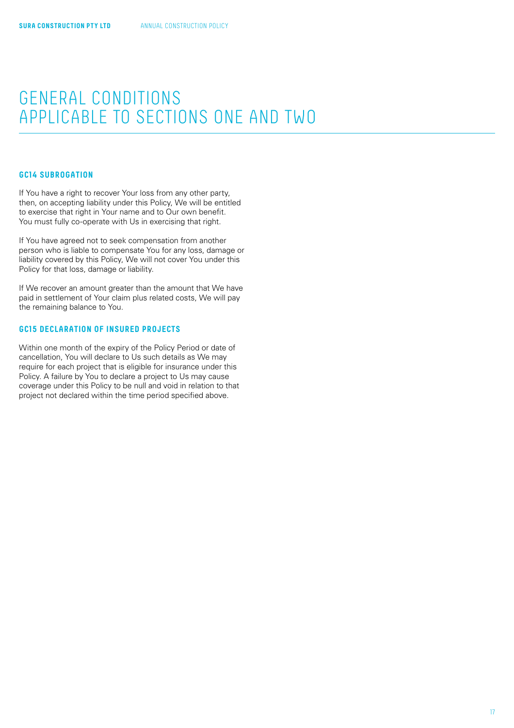### **GC14 SUBROGATION**

If You have a right to recover Your loss from any other party, then, on accepting liability under this Policy, We will be entitled to exercise that right in Your name and to Our own benefit. You must fully co-operate with Us in exercising that right.

If You have agreed not to seek compensation from another person who is liable to compensate You for any loss, damage or liability covered by this Policy, We will not cover You under this Policy for that loss, damage or liability.

If We recover an amount greater than the amount that We have paid in settlement of Your claim plus related costs, We will pay the remaining balance to You.

## **GC15 DECLARATION OF INSURED PROJECTS**

Within one month of the expiry of the Policy Period or date of cancellation, You will declare to Us such details as We may require for each project that is eligible for insurance under this Policy. A failure by You to declare a project to Us may cause coverage under this Policy to be null and void in relation to that project not declared within the time period specified above.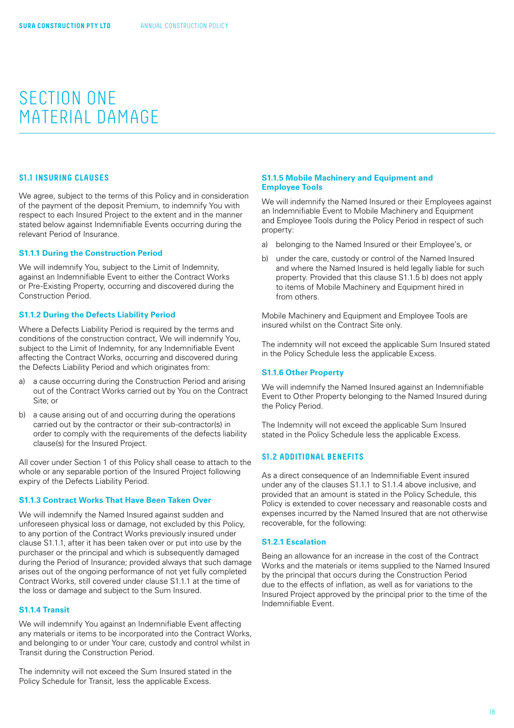#### <span id="page-17-0"></span>**S1.1 INSURING CLAUSES**

We agree, subject to the terms of this Policy and in consideration of the payment of the deposit Premium, to indemnify You with respect to each Insured Project to the extent and in the manner stated below against Indemnifiable Events occurring during the relevant Period of Insurance.

#### **S1.1.1 During the Construction Period**

We will indemnify You, subject to the Limit of Indemnity, against an Indemnifiable Event to either the Contract Works or Pre-Existing Property, occurring and discovered during the Construction Period.

#### **S1.1.2 During the Defects Liability Period**

Where a Defects Liability Period is required by the terms and conditions of the construction contract, We will indemnify You, subject to the Limit of Indemnity, for any Indemnifiable Event affecting the Contract Works, occurring and discovered during the Defects Liability Period and which originates from:

- a) a cause occurring during the Construction Period and arising out of the Contract Works carried out by You on the Contract Site; or
- b) a cause arising out of and occurring during the operations carried out by the contractor or their sub-contractor(s) in order to comply with the requirements of the defects liability clause(s) for the Insured Project.

All cover under Section 1 of this Policy shall cease to attach to the whole or any separable portion of the Insured Project following expiry of the Defects Liability Period.

## **S1.1.3 Contract Works That Have Been Taken Over**

We will indemnify the Named Insured against sudden and unforeseen physical loss or damage, not excluded by this Policy, to any portion of the Contract Works previously insured under clause S1.1.1, after it has been taken over or put into use by the purchaser or the principal and which is subsequently damaged during the Period of Insurance; provided always that such damage arises out of the ongoing performance of not yet fully completed Contract Works, still covered under clause S1.1.1 at the time of the loss or damage and subject to the Sum Insured.

## **S1.1.4 Transit**

We will indemnify You against an Indemnifiable Event affecting any materials or items to be incorporated into the Contract Works, and belonging to or under Your care, custody and control whilst in Transit during the Construction Period.

The indemnity will not exceed the Sum Insured stated in the Policy Schedule for Transit, less the applicable Excess.

#### **S1.1.5 Mobile Machinery and Equipment and Employee Tools**

We will indemnify the Named Insured or their Employees against an Indemnifiable Event to Mobile Machinery and Equipment and Employee Tools during the Policy Period in respect of such property:

- a) belonging to the Named Insured or their Employee's, or
- b) under the care, custody or control of the Named Insured and where the Named Insured is held legally liable for such property. Provided that this clause S1.1.5 b) does not apply to items of Mobile Machinery and Equipment hired in from others.

Mobile Machinery and Equipment and Employee Tools are insured whilst on the Contract Site only.

The indemnity will not exceed the applicable Sum Insured stated in the Policy Schedule less the applicable Excess.

#### **S1.1.6 Other Property**

We will indemnify the Named Insured against an Indemnifiable Event to Other Property belonging to the Named Insured during the Policy Period.

The Indemnity will not exceed the applicable Sum Insured stated in the Policy Schedule less the applicable Excess.

## **S1.2 ADDITIONAL BENEFITS**

As a direct consequence of an Indemnifiable Event insured under any of the clauses S1.1.1 to S1.1.4 above inclusive, and provided that an amount is stated in the Policy Schedule, this Policy is extended to cover necessary and reasonable costs and expenses incurred by the Named Insured that are not otherwise recoverable, for the following:

#### **S1.2.1 Escalation**

Being an allowance for an increase in the cost of the Contract Works and the materials or items supplied to the Named Insured by the principal that occurs during the Construction Period due to the effects of inflation, as well as for variations to the Insured Project approved by the principal prior to the time of the Indemnifiable Event.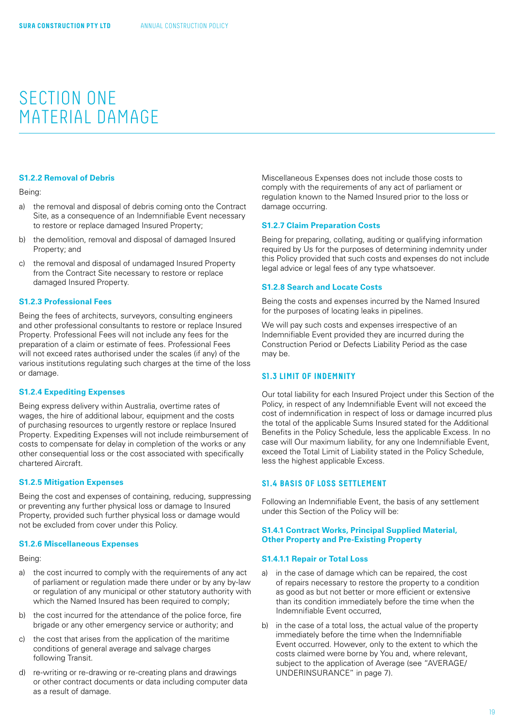### <span id="page-18-0"></span>**S1.2.2 Removal of Debris**

Being:

- a) the removal and disposal of debris coming onto the Contract Site, as a consequence of an Indemnifiable Event necessary to restore or replace damaged Insured Property;
- b) the demolition, removal and disposal of damaged Insured Property; and
- c) the removal and disposal of undamaged Insured Property from the Contract Site necessary to restore or replace damaged Insured Property.

#### **S1.2.3 Professional Fees**

Being the fees of architects, surveyors, consulting engineers and other professional consultants to restore or replace Insured Property. Professional Fees will not include any fees for the preparation of a claim or estimate of fees. Professional Fees will not exceed rates authorised under the scales (if any) of the various institutions regulating such charges at the time of the loss or damage.

#### **S1.2.4 Expediting Expenses**

Being express delivery within Australia, overtime rates of wages, the hire of additional labour, equipment and the costs of purchasing resources to urgently restore or replace Insured Property. Expediting Expenses will not include reimbursement of costs to compensate for delay in completion of the works or any other consequential loss or the cost associated with specifically chartered Aircraft.

#### **S1.2.5 Mitigation Expenses**

Being the cost and expenses of containing, reducing, suppressing or preventing any further physical loss or damage to Insured Property, provided such further physical loss or damage would not be excluded from cover under this Policy.

#### **S1.2.6 Miscellaneous Expenses**

Being:

- a) the cost incurred to comply with the requirements of any act of parliament or regulation made there under or by any by-law or regulation of any municipal or other statutory authority with which the Named Insured has been required to comply;
- b) the cost incurred for the attendance of the police force, fire brigade or any other emergency service or authority; and
- c) the cost that arises from the application of the maritime conditions of general average and salvage charges following Transit.
- d) re-writing or re-drawing or re-creating plans and drawings or other contract documents or data including computer data as a result of damage.

Miscellaneous Expenses does not include those costs to comply with the requirements of any act of parliament or regulation known to the Named Insured prior to the loss or damage occurring.

#### **S1.2.7 Claim Preparation Costs**

Being for preparing, collating, auditing or qualifying information required by Us for the purposes of determining indemnity under this Policy provided that such costs and expenses do not include legal advice or legal fees of any type whatsoever.

#### **S1.2.8 Search and Locate Costs**

Being the costs and expenses incurred by the Named Insured for the purposes of locating leaks in pipelines.

We will pay such costs and expenses irrespective of an Indemnifiable Event provided they are incurred during the Construction Period or Defects Liability Period as the case may be.

#### **S1.3 LIMIT OF INDEMNITY**

Our total liability for each Insured Project under this Section of the Policy, in respect of any Indemnifiable Event will not exceed the cost of indemnification in respect of loss or damage incurred plus the total of the applicable Sums Insured stated for the Additional Benefits in the Policy Schedule, less the applicable Excess. In no case will Our maximum liability, for any one Indemnifiable Event, exceed the Total Limit of Liability stated in the Policy Schedule, less the highest applicable Excess.

## **S1.4 BASIS OF LOSS SETTLEMENT**

Following an Indemnifiable Event, the basis of any settlement under this Section of the Policy will be:

#### **S1.4.1 Contract Works, Principal Supplied Material, Other Property and Pre-Existing Property**

#### **S1.4.1.1 Repair or Total Loss**

- a) in the case of damage which can be repaired, the cost of repairs necessary to restore the property to a condition as good as but not better or more efficient or extensive than its condition immediately before the time when the Indemnifiable Event occurred,
- b) in the case of a total loss, the actual value of the property immediately before the time when the Indemnifiable Event occurred. However, only to the extent to which the costs claimed were borne by You and, where relevant, subject to the application of Average (see "AVERAGE/ UNDERINSURANCE" in [page 7\)](#page-6-0).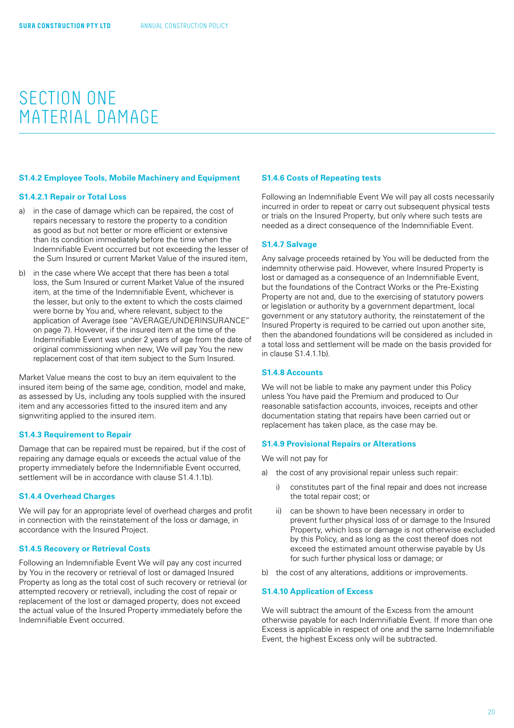#### **S1.4.2 Employee Tools, Mobile Machinery and Equipment**

#### **S1.4.2.1 Repair or Total Loss**

- a) in the case of damage which can be repaired, the cost of repairs necessary to restore the property to a condition as good as but not better or more efficient or extensive than its condition immediately before the time when the Indemnifiable Event occurred but not exceeding the lesser of the Sum Insured or current Market Value of the insured item,
- b) in the case where We accept that there has been a total loss, the Sum Insured or current Market Value of the insured item, at the time of the Indemnifiable Event, whichever is the lesser, but only to the extent to which the costs claimed were borne by You and, where relevant, subject to the application of Average (see "AVERAGE/UNDERINSURANCE" on [page 7\)](#page-6-0). However, if the insured item at the time of the Indemnifiable Event was under 2 years of age from the date of original commissioning when new, We will pay You the new replacement cost of that item subject to the Sum Insured.

Market Value means the cost to buy an item equivalent to the insured item being of the same age, condition, model and make, as assessed by Us, including any tools supplied with the insured item and any accessories fitted to the insured item and any signwriting applied to the insured item.

#### **S1.4.3 Requirement to Repair**

Damage that can be repaired must be repaired, but if the cost of repairing any damage equals or exceeds the actual value of the property immediately before the Indemnifiable Event occurred, settlement will be in accordance with clause S1.4.1.1b).

#### **S1.4.4 Overhead Charges**

We will pay for an appropriate level of overhead charges and profit in connection with the reinstatement of the loss or damage, in accordance with the Insured Project.

#### **S1.4.5 Recovery or Retrieval Costs**

Following an Indemnifiable Event We will pay any cost incurred by You in the recovery or retrieval of lost or damaged Insured Property as long as the total cost of such recovery or retrieval (or attempted recovery or retrieval), including the cost of repair or replacement of the lost or damaged property, does not exceed the actual value of the Insured Property immediately before the Indemnifiable Event occurred.

#### **S1.4.6 Costs of Repeating tests**

Following an Indemnifiable Event We will pay all costs necessarily incurred in order to repeat or carry out subsequent physical tests or trials on the Insured Property, but only where such tests are needed as a direct consequence of the Indemnifiable Event.

#### **S1.4.7 Salvage**

Any salvage proceeds retained by You will be deducted from the indemnity otherwise paid. However, where Insured Property is lost or damaged as a consequence of an Indemnifiable Event, but the foundations of the Contract Works or the Pre-Existing Property are not and, due to the exercising of statutory powers or legislation or authority by a government department, local government or any statutory authority, the reinstatement of the Insured Property is required to be carried out upon another site, then the abandoned foundations will be considered as included in a total loss and settlement will be made on the basis provided for in clause S1.4.1.1b).

## **S1.4.8 Accounts**

We will not be liable to make any payment under this Policy unless You have paid the Premium and produced to Our reasonable satisfaction accounts, invoices, receipts and other documentation stating that repairs have been carried out or replacement has taken place, as the case may be.

#### **S1.4.9 Provisional Repairs or Alterations**

We will not pay for

- a) the cost of any provisional repair unless such repair:
	- i) constitutes part of the final repair and does not increase the total repair cost; or
	- ii) can be shown to have been necessary in order to prevent further physical loss of or damage to the Insured Property, which loss or damage is not otherwise excluded by this Policy, and as long as the cost thereof does not exceed the estimated amount otherwise payable by Us for such further physical loss or damage; or
- b) the cost of any alterations, additions or improvements.

#### **S1.4.10 Application of Excess**

We will subtract the amount of the Excess from the amount otherwise payable for each Indemnifiable Event. If more than one Excess is applicable in respect of one and the same Indemnifiable Event, the highest Excess only will be subtracted.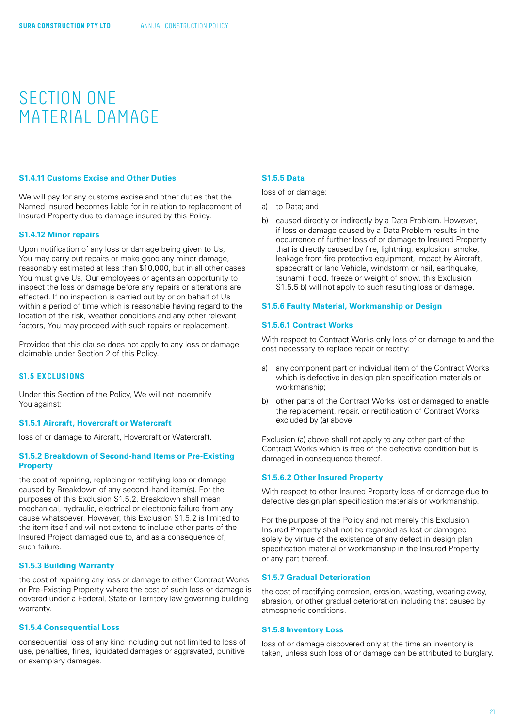### <span id="page-20-0"></span>**S1.4.11 Customs Excise and Other Duties**

We will pay for any customs excise and other duties that the Named Insured becomes liable for in relation to replacement of Insured Property due to damage insured by this Policy.

#### **S1.4.12 Minor repairs**

Upon notification of any loss or damage being given to Us, You may carry out repairs or make good any minor damage, reasonably estimated at less than \$10,000, but in all other cases You must give Us, Our employees or agents an opportunity to inspect the loss or damage before any repairs or alterations are effected. If no inspection is carried out by or on behalf of Us within a period of time which is reasonable having regard to the location of the risk, weather conditions and any other relevant factors, You may proceed with such repairs or replacement.

Provided that this clause does not apply to any loss or damage claimable under Section 2 of this Policy.

### **S1.5 EXCLUSIONS**

Under this Section of the Policy, We will not indemnify You against:

#### **S1.5.1 Aircraft, Hovercraft or Watercraft**

loss of or damage to Aircraft, Hovercraft or Watercraft.

#### **S1.5.2 Breakdown of Second-hand Items or Pre-Existing Property**

the cost of repairing, replacing or rectifying loss or damage caused by Breakdown of any second-hand item(s). For the purposes of this Exclusion S1.5.2. Breakdown shall mean mechanical, hydraulic, electrical or electronic failure from any cause whatsoever. However, this Exclusion S1.5.2 is limited to the item itself and will not extend to include other parts of the Insured Project damaged due to, and as a consequence of, such failure.

### **S1.5.3 Building Warranty**

the cost of repairing any loss or damage to either Contract Works or Pre-Existing Property where the cost of such loss or damage is covered under a Federal, State or Territory law governing building warranty.

## **S1.5.4 Consequential Loss**

consequential loss of any kind including but not limited to loss of use, penalties, fines, liquidated damages or aggravated, punitive or exemplary damages.

#### **S1.5.5 Data**

loss of or damage:

- a) to Data; and
- b) caused directly or indirectly by a Data Problem. However, if loss or damage caused by a Data Problem results in the occurrence of further loss of or damage to Insured Property that is directly caused by fire, lightning, explosion, smoke, leakage from fire protective equipment, impact by Aircraft, spacecraft or land Vehicle, windstorm or hail, earthquake, tsunami, flood, freeze or weight of snow, this Exclusion S1.5.5 b) will not apply to such resulting loss or damage.

#### **S1.5.6 Faulty Material, Workmanship or Design**

#### **S1.5.6.1 Contract Works**

With respect to Contract Works only loss of or damage to and the cost necessary to replace repair or rectify:

- a) any component part or individual item of the Contract Works which is defective in design plan specification materials or workmanship;
- b) other parts of the Contract Works lost or damaged to enable the replacement, repair, or rectification of Contract Works excluded by (a) above.

Exclusion (a) above shall not apply to any other part of the Contract Works which is free of the defective condition but is damaged in consequence thereof.

#### **S1.5.6.2 Other Insured Property**

With respect to other Insured Property loss of or damage due to defective design plan specification materials or workmanship.

For the purpose of the Policy and not merely this Exclusion Insured Property shall not be regarded as lost or damaged solely by virtue of the existence of any defect in design plan specification material or workmanship in the Insured Property or any part thereof.

#### **S1.5.7 Gradual Deterioration**

the cost of rectifying corrosion, erosion, wasting, wearing away, abrasion, or other gradual deterioration including that caused by atmospheric conditions.

#### **S1.5.8 Inventory Loss**

loss of or damage discovered only at the time an inventory is taken, unless such loss of or damage can be attributed to burglary.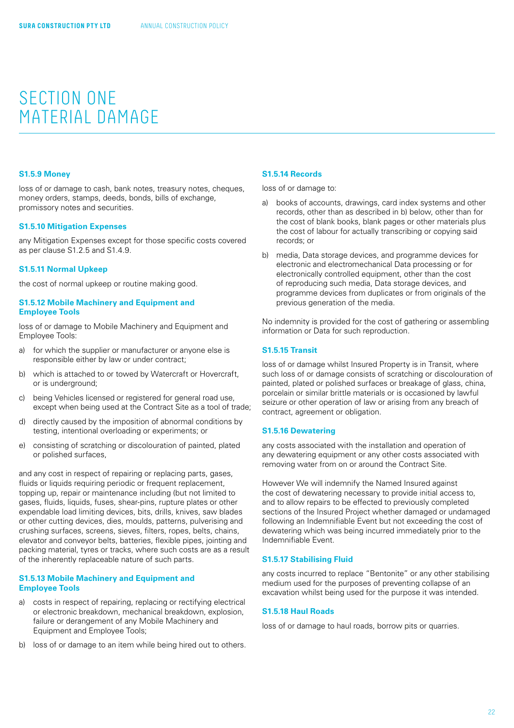#### <span id="page-21-0"></span>**S1.5.9 Money**

loss of or damage to cash, bank notes, treasury notes, cheques, money orders, stamps, deeds, bonds, bills of exchange, promissory notes and securities.

#### **S1.5.10 Mitigation Expenses**

any Mitigation Expenses except for those specific costs covered as per clause S1.2.5 and S1.4.9.

#### **S1.5.11 Normal Upkeep**

the cost of normal upkeep or routine making good.

#### **S1.5.12 Mobile Machinery and Equipment and Employee Tools**

loss of or damage to Mobile Machinery and Equipment and Employee Tools:

- a) for which the supplier or manufacturer or anyone else is responsible either by law or under contract;
- b) which is attached to or towed by Watercraft or Hovercraft, or is underground;
- c) being Vehicles licensed or registered for general road use, except when being used at the Contract Site as a tool of trade;
- d) directly caused by the imposition of abnormal conditions by testing, intentional overloading or experiments; or
- e) consisting of scratching or discolouration of painted, plated or polished surfaces,

and any cost in respect of repairing or replacing parts, gases, fluids or liquids requiring periodic or frequent replacement, topping up, repair or maintenance including (but not limited to gases, fluids, liquids, fuses, shear-pins, rupture plates or other expendable load limiting devices, bits, drills, knives, saw blades or other cutting devices, dies, moulds, patterns, pulverising and crushing surfaces, screens, sieves, filters, ropes, belts, chains, elevator and conveyor belts, batteries, flexible pipes, jointing and packing material, tyres or tracks, where such costs are as a result of the inherently replaceable nature of such parts.

#### **S1.5.13 Mobile Machinery and Equipment and Employee Tools**

- a) costs in respect of repairing, replacing or rectifying electrical or electronic breakdown, mechanical breakdown, explosion, failure or derangement of any Mobile Machinery and Equipment and Employee Tools;
- b) loss of or damage to an item while being hired out to others.

#### **S1.5.14 Records**

loss of or damage to:

- a) books of accounts, drawings, card index systems and other records, other than as described in b) below, other than for the cost of blank books, blank pages or other materials plus the cost of labour for actually transcribing or copying said records; or
- b) media, Data storage devices, and programme devices for electronic and electromechanical Data processing or for electronically controlled equipment, other than the cost of reproducing such media, Data storage devices, and programme devices from duplicates or from originals of the previous generation of the media.

No indemnity is provided for the cost of gathering or assembling information or Data for such reproduction.

#### **S1.5.15 Transit**

loss of or damage whilst Insured Property is in Transit, where such loss of or damage consists of scratching or discolouration of painted, plated or polished surfaces or breakage of glass, china, porcelain or similar brittle materials or is occasioned by lawful seizure or other operation of law or arising from any breach of contract, agreement or obligation.

#### **S1.5.16 Dewatering**

any costs associated with the installation and operation of any dewatering equipment or any other costs associated with removing water from on or around the Contract Site.

However We will indemnify the Named Insured against the cost of dewatering necessary to provide initial access to, and to allow repairs to be effected to previously completed sections of the Insured Project whether damaged or undamaged following an Indemnifiable Event but not exceeding the cost of dewatering which was being incurred immediately prior to the Indemnifiable Event.

#### **S1.5.17 Stabilising Fluid**

any costs incurred to replace "Bentonite" or any other stabilising medium used for the purposes of preventing collapse of an excavation whilst being used for the purpose it was intended.

#### **S1.5.18 Haul Roads**

loss of or damage to haul roads, borrow pits or quarries.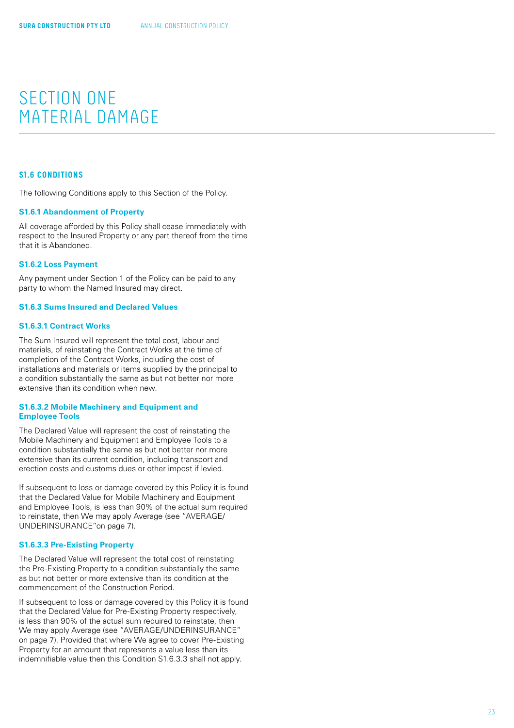## <span id="page-22-0"></span>**S1.6 CONDITIONS**

The following Conditions apply to this Section of the Policy.

## **S1.6.1 Abandonment of Property**

All coverage afforded by this Policy shall cease immediately with respect to the Insured Property or any part thereof from the time that it is Abandoned.

### **S1.6.2 Loss Payment**

Any payment under Section 1 of the Policy can be paid to any party to whom the Named Insured may direct.

## **S1.6.3 Sums Insured and Declared Values**

## **S1.6.3.1 Contract Works**

The Sum Insured will represent the total cost, labour and materials, of reinstating the Contract Works at the time of completion of the Contract Works, including the cost of installations and materials or items supplied by the principal to a condition substantially the same as but not better nor more extensive than its condition when new.

## **S1.6.3.2 Mobile Machinery and Equipment and Employee Tools**

The Declared Value will represent the cost of reinstating the Mobile Machinery and Equipment and Employee Tools to a condition substantially the same as but not better nor more extensive than its current condition, including transport and erection costs and customs dues or other impost if levied.

If subsequent to loss or damage covered by this Policy it is found that the Declared Value for Mobile Machinery and Equipment and Employee Tools, is less than 90% of the actual sum required to reinstate, then We may apply Average (see "AVERAGE/ UNDERINSURANCE"on [page 7](#page-6-0)).

#### **S1.6.3.3 Pre-Existing Property**

The Declared Value will represent the total cost of reinstating the Pre-Existing Property to a condition substantially the same as but not better or more extensive than its condition at the commencement of the Construction Period.

If subsequent to loss or damage covered by this Policy it is found that the Declared Value for Pre-Existing Property respectively, is less than 90% of the actual sum required to reinstate, then We may apply Average (see "AVERAGE/UNDERINSURANCE" on [page 7\)](#page-6-0). Provided that where We agree to cover Pre-Existing Property for an amount that represents a value less than its indemnifiable value then this Condition S1.6.3.3 shall not apply.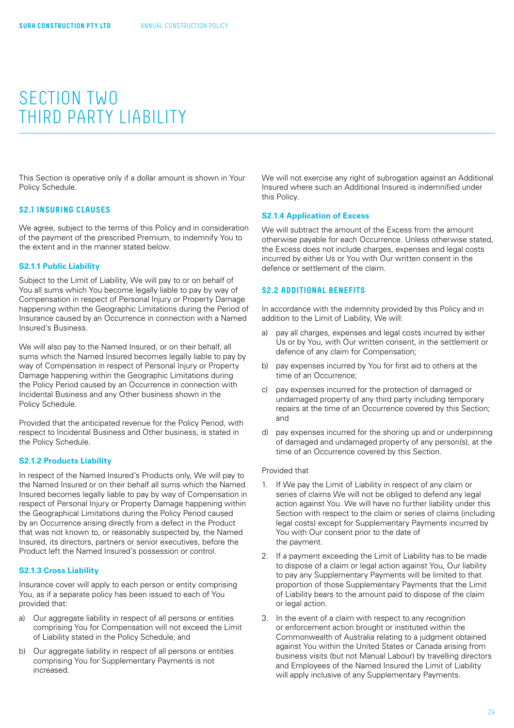<span id="page-23-0"></span>This Section is operative only if a dollar amount is shown in Your Policy Schedule.

### **S2.1 INSURING CLAUSES**

We agree, subject to the terms of this Policy and in consideration of the payment of the prescribed Premium, to indemnify You to the extent and in the manner stated below.

#### **S2.1.1 Public Liability**

Subject to the Limit of Liability, We will pay to or on behalf of You all sums which You become legally liable to pay by way of Compensation in respect of Personal Injury or Property Damage happening within the Geographic Limitations during the Period of Insurance caused by an Occurrence in connection with a Named Insured's Business.

We will also pay to the Named Insured, or on their behalf, all sums which the Named Insured becomes legally liable to pay by way of Compensation in respect of Personal Injury or Property Damage happening within the Geographic Limitations during the Policy Period caused by an Occurrence in connection with Incidental Business and any Other business shown in the Policy Schedule.

Provided that the anticipated revenue for the Policy Period, with respect to Incidental Business and Other business, is stated in the Policy Schedule.

#### **S2.1.2 Products Liability**

In respect of the Named Insured's Products only, We will pay to the Named Insured or on their behalf all sums which the Named Insured becomes legally liable to pay by way of Compensation in respect of Personal Injury or Property Damage happening within the Geographical Limitations during the Policy Period caused by an Occurrence arising directly from a defect in the Product that was not known to, or reasonably suspected by, the Named Insured, its directors, partners or senior executives, before the Product left the Named Insured's possession or control.

#### **S2.1.3 Cross Liability**

Insurance cover will apply to each person or entity comprising You, as if a separate policy has been issued to each of You provided that:

- a) Our aggregate liability in respect of all persons or entities comprising You for Compensation will not exceed the Limit of Liability stated in the Policy Schedule; and
- b) Our aggregate liability in respect of all persons or entities comprising You for Supplementary Payments is not increased.

We will not exercise any right of subrogation against an Additional Insured where such an Additional Insured is indemnified under this Policy.

#### **S2.1.4 Application of Excess**

We will subtract the amount of the Excess from the amount otherwise payable for each Occurrence. Unless otherwise stated, the Excess does not include charges, expenses and legal costs incurred by either Us or You with Our written consent in the defence or settlement of the claim.

## **S2.2 ADDITIONAL BENEFITS**

In accordance with the indemnity provided by this Policy and in addition to the Limit of Liability, We will:

- a) pay all charges, expenses and legal costs incurred by either Us or by You, with Our written consent, in the settlement or defence of any claim for Compensation;
- b) pay expenses incurred by You for first aid to others at the time of an Occurrence;
- c) pay expenses incurred for the protection of damaged or undamaged property of any third party including temporary repairs at the time of an Occurrence covered by this Section; and
- d) pay expenses incurred for the shoring up and or underpinning of damaged and undamaged property of any person(s), at the time of an Occurrence covered by this Section.

#### Provided that

- 1. If We pay the Limit of Liability in respect of any claim or series of claims We will not be obliged to defend any legal action against You. We will have no further liability under this Section with respect to the claim or series of claims (including legal costs) except for Supplementary Payments incurred by You with Our consent prior to the date of the payment.
- 2. If a payment exceeding the Limit of Liability has to be made to dispose of a claim or legal action against You, Our liability to pay any Supplementary Payments will be limited to that proportion of those Supplementary Payments that the Limit of Liability bears to the amount paid to dispose of the claim or legal action.
- 3. In the event of a claim with respect to any recognition or enforcement action brought or instituted within the Commonwealth of Australia relating to a judgment obtained against You within the United States or Canada arising from business visits (but not Manual Labour) by travelling directors and Employees of the Named Insured the Limit of Liability will apply inclusive of any Supplementary Payments.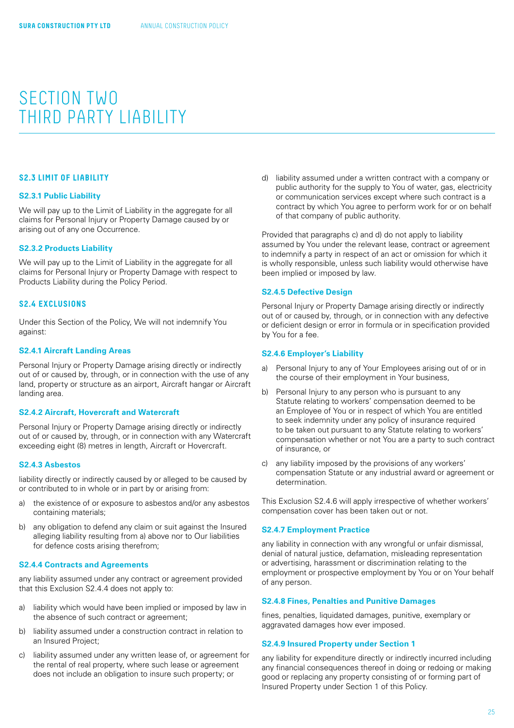## <span id="page-24-0"></span>**S2.3 LIMIT OF LIABILITY**

#### **S2.3.1 Public Liability**

We will pay up to the Limit of Liability in the aggregate for all claims for Personal Injury or Property Damage caused by or arising out of any one Occurrence.

## **S2.3.2 Products Liability**

We will pay up to the Limit of Liability in the aggregate for all claims for Personal Injury or Property Damage with respect to Products Liability during the Policy Period.

## **S2.4 EXCLUSIONS**

Under this Section of the Policy, We will not indemnify You against:

### **S2.4.1 Aircraft Landing Areas**

Personal Injury or Property Damage arising directly or indirectly out of or caused by, through, or in connection with the use of any land, property or structure as an airport, Aircraft hangar or Aircraft landing area.

### **S2.4.2 Aircraft, Hovercraft and Watercraft**

Personal Injury or Property Damage arising directly or indirectly out of or caused by, through, or in connection with any Watercraft exceeding eight (8) metres in length, Aircraft or Hovercraft.

#### **S2.4.3 Asbestos**

liability directly or indirectly caused by or alleged to be caused by or contributed to in whole or in part by or arising from:

- a) the existence of or exposure to asbestos and/or any asbestos containing materials;
- b) any obligation to defend any claim or suit against the Insured alleging liability resulting from a) above nor to Our liabilities for defence costs arising therefrom;

### **S2.4.4 Contracts and Agreements**

any liability assumed under any contract or agreement provided that this Exclusion S2.4.4 does not apply to:

- a) liability which would have been implied or imposed by law in the absence of such contract or agreement;
- b) liability assumed under a construction contract in relation to an Insured Project;
- c) liability assumed under any written lease of, or agreement for the rental of real property, where such lease or agreement does not include an obligation to insure such property; or

d) liability assumed under a written contract with a company or public authority for the supply to You of water, gas, electricity or communication services except where such contract is a contract by which You agree to perform work for or on behalf of that company of public authority.

Provided that paragraphs c) and d) do not apply to liability assumed by You under the relevant lease, contract or agreement to indemnify a party in respect of an act or omission for which it is wholly responsible, unless such liability would otherwise have been implied or imposed by law.

### **S2.4.5 Defective Design**

Personal Injury or Property Damage arising directly or indirectly out of or caused by, through, or in connection with any defective or deficient design or error in formula or in specification provided by You for a fee.

### **S2.4.6 Employer's Liability**

- a) Personal Injury to any of Your Employees arising out of or in the course of their employment in Your business,
- b) Personal Injury to any person who is pursuant to any Statute relating to workers' compensation deemed to be an Employee of You or in respect of which You are entitled to seek indemnity under any policy of insurance required to be taken out pursuant to any Statute relating to workers' compensation whether or not You are a party to such contract of insurance, or
- c) any liability imposed by the provisions of any workers' compensation Statute or any industrial award or agreement or determination.

This Exclusion S2.4.6 will apply irrespective of whether workers' compensation cover has been taken out or not.

## **S2.4.7 Employment Practice**

any liability in connection with any wrongful or unfair dismissal, denial of natural justice, defamation, misleading representation or advertising, harassment or discrimination relating to the employment or prospective employment by You or on Your behalf of any person.

## **S2.4.8 Fines, Penalties and Punitive Damages**

fines, penalties, liquidated damages, punitive, exemplary or aggravated damages how ever imposed.

## **S2.4.9 Insured Property under Section 1**

any liability for expenditure directly or indirectly incurred including any financial consequences thereof in doing or redoing or making good or replacing any property consisting of or forming part of Insured Property under Section 1 of this Policy.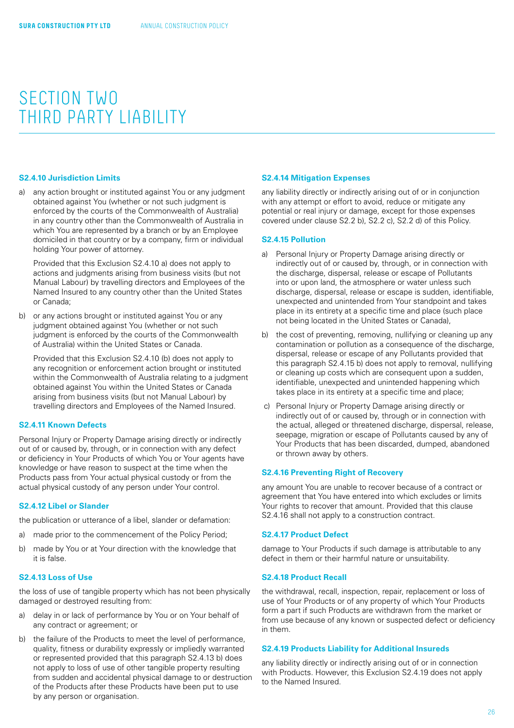#### <span id="page-25-0"></span>**S2.4.10 Jurisdiction Limits**

a) any action brought or instituted against You or any judgment obtained against You (whether or not such judgment is enforced by the courts of the Commonwealth of Australia) in any country other than the Commonwealth of Australia in which You are represented by a branch or by an Employee domiciled in that country or by a company, firm or individual holding Your power of attorney.

Provided that this Exclusion S2.4.10 a) does not apply to actions and judgments arising from business visits (but not Manual Labour) by travelling directors and Employees of the Named Insured to any country other than the United States or Canada;

b) or any actions brought or instituted against You or any judgment obtained against You (whether or not such judgment is enforced by the courts of the Commonwealth of Australia) within the United States or Canada.

Provided that this Exclusion S2.4.10 (b) does not apply to any recognition or enforcement action brought or instituted within the Commonwealth of Australia relating to a judgment obtained against You within the United States or Canada arising from business visits (but not Manual Labour) by travelling directors and Employees of the Named Insured.

#### **S2.4.11 Known Defects**

Personal Injury or Property Damage arising directly or indirectly out of or caused by, through, or in connection with any defect or deficiency in Your Products of which You or Your agents have knowledge or have reason to suspect at the time when the Products pass from Your actual physical custody or from the actual physical custody of any person under Your control.

#### **S2.4.12 Libel or Slander**

the publication or utterance of a libel, slander or defamation:

- a) made prior to the commencement of the Policy Period;
- b) made by You or at Your direction with the knowledge that it is false.

#### **S2.4.13 Loss of Use**

the loss of use of tangible property which has not been physically damaged or destroyed resulting from:

- a) delay in or lack of performance by You or on Your behalf of any contract or agreement; or
- b) the failure of the Products to meet the level of performance, quality, fitness or durability expressly or impliedly warranted or represented provided that this paragraph S2.4.13 b) does not apply to loss of use of other tangible property resulting from sudden and accidental physical damage to or destruction of the Products after these Products have been put to use by any person or organisation.

#### **S2.4.14 Mitigation Expenses**

any liability directly or indirectly arising out of or in conjunction with any attempt or effort to avoid, reduce or mitigate any potential or real injury or damage, except for those expenses covered under clause S2.2 b), S2.2 c), S2.2 d) of this Policy.

#### **S2.4.15 Pollution**

- a) Personal Injury or Property Damage arising directly or indirectly out of or caused by, through, or in connection with the discharge, dispersal, release or escape of Pollutants into or upon land, the atmosphere or water unless such discharge, dispersal, release or escape is sudden, identifiable, unexpected and unintended from Your standpoint and takes place in its entirety at a specific time and place (such place not being located in the United States or Canada),
- b) the cost of preventing, removing, nullifying or cleaning up any contamination or pollution as a consequence of the discharge, dispersal, release or escape of any Pollutants provided that this paragraph S2.4.15 b) does not apply to removal, nullifying or cleaning up costs which are consequent upon a sudden, identifiable, unexpected and unintended happening which takes place in its entirety at a specific time and place;
- c) Personal Injury or Property Damage arising directly or indirectly out of or caused by, through or in connection with the actual, alleged or threatened discharge, dispersal, release, seepage, migration or escape of Pollutants caused by any of Your Products that has been discarded, dumped, abandoned or thrown away by others.

#### **S2.4.16 Preventing Right of Recovery**

any amount You are unable to recover because of a contract or agreement that You have entered into which excludes or limits Your rights to recover that amount. Provided that this clause S2.4.16 shall not apply to a construction contract.

#### **S2.4.17 Product Defect**

damage to Your Products if such damage is attributable to any defect in them or their harmful nature or unsuitability.

#### **S2.4.18 Product Recall**

the withdrawal, recall, inspection, repair, replacement or loss of use of Your Products or of any property of which Your Products form a part if such Products are withdrawn from the market or from use because of any known or suspected defect or deficiency in them.

### **S2.4.19 Products Liability for Additional Insureds**

any liability directly or indirectly arising out of or in connection with Products. However, this Exclusion S2.4.19 does not apply to the Named Insured.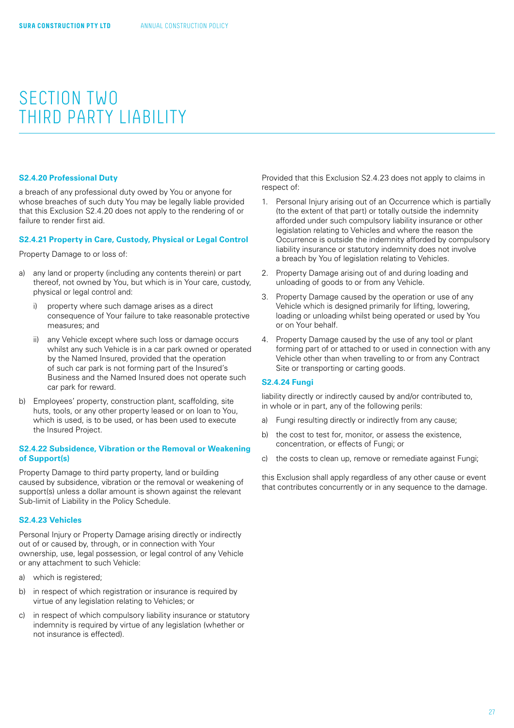#### <span id="page-26-0"></span>**S2.4.20 Professional Duty**

a breach of any professional duty owed by You or anyone for whose breaches of such duty You may be legally liable provided that this Exclusion S2.4.20 does not apply to the rendering of or failure to render first aid.

#### **S2.4.21 Property in Care, Custody, Physical or Legal Control**

Property Damage to or loss of:

- a) any land or property (including any contents therein) or part thereof, not owned by You, but which is in Your care, custody, physical or legal control and:
	- i) property where such damage arises as a direct consequence of Your failure to take reasonable protective measures; and
	- ii) any Vehicle except where such loss or damage occurs whilst any such Vehicle is in a car park owned or operated by the Named Insured, provided that the operation of such car park is not forming part of the Insured's Business and the Named Insured does not operate such car park for reward.
- b) Employees' property, construction plant, scaffolding, site huts, tools, or any other property leased or on loan to You, which is used, is to be used, or has been used to execute the Insured Project.

## **S2.4.22 Subsidence, Vibration or the Removal or Weakening of Support(s)**

Property Damage to third party property, land or building caused by subsidence, vibration or the removal or weakening of support(s) unless a dollar amount is shown against the relevant Sub-limit of Liability in the Policy Schedule.

#### **S2.4.23 Vehicles**

Personal Injury or Property Damage arising directly or indirectly out of or caused by, through, or in connection with Your ownership, use, legal possession, or legal control of any Vehicle or any attachment to such Vehicle:

- a) which is registered;
- b) in respect of which registration or insurance is required by virtue of any legislation relating to Vehicles; or
- c) in respect of which compulsory liability insurance or statutory indemnity is required by virtue of any legislation (whether or not insurance is effected).

Provided that this Exclusion S2.4.23 does not apply to claims in respect of:

- 1. Personal Injury arising out of an Occurrence which is partially (to the extent of that part) or totally outside the indemnity afforded under such compulsory liability insurance or other legislation relating to Vehicles and where the reason the Occurrence is outside the indemnity afforded by compulsory liability insurance or statutory indemnity does not involve a breach by You of legislation relating to Vehicles.
- 2. Property Damage arising out of and during loading and unloading of goods to or from any Vehicle.
- 3. Property Damage caused by the operation or use of any Vehicle which is designed primarily for lifting, lowering, loading or unloading whilst being operated or used by You or on Your behalf.
- 4. Property Damage caused by the use of any tool or plant forming part of or attached to or used in connection with any Vehicle other than when travelling to or from any Contract Site or transporting or carting goods.

### **S2.4.24 Fungi**

liability directly or indirectly caused by and/or contributed to, in whole or in part, any of the following perils:

- a) Fungi resulting directly or indirectly from any cause;
- b) the cost to test for, monitor, or assess the existence, concentration, or effects of Fungi; or
- c) the costs to clean up, remove or remediate against Fungi;

this Exclusion shall apply regardless of any other cause or event that contributes concurrently or in any sequence to the damage.